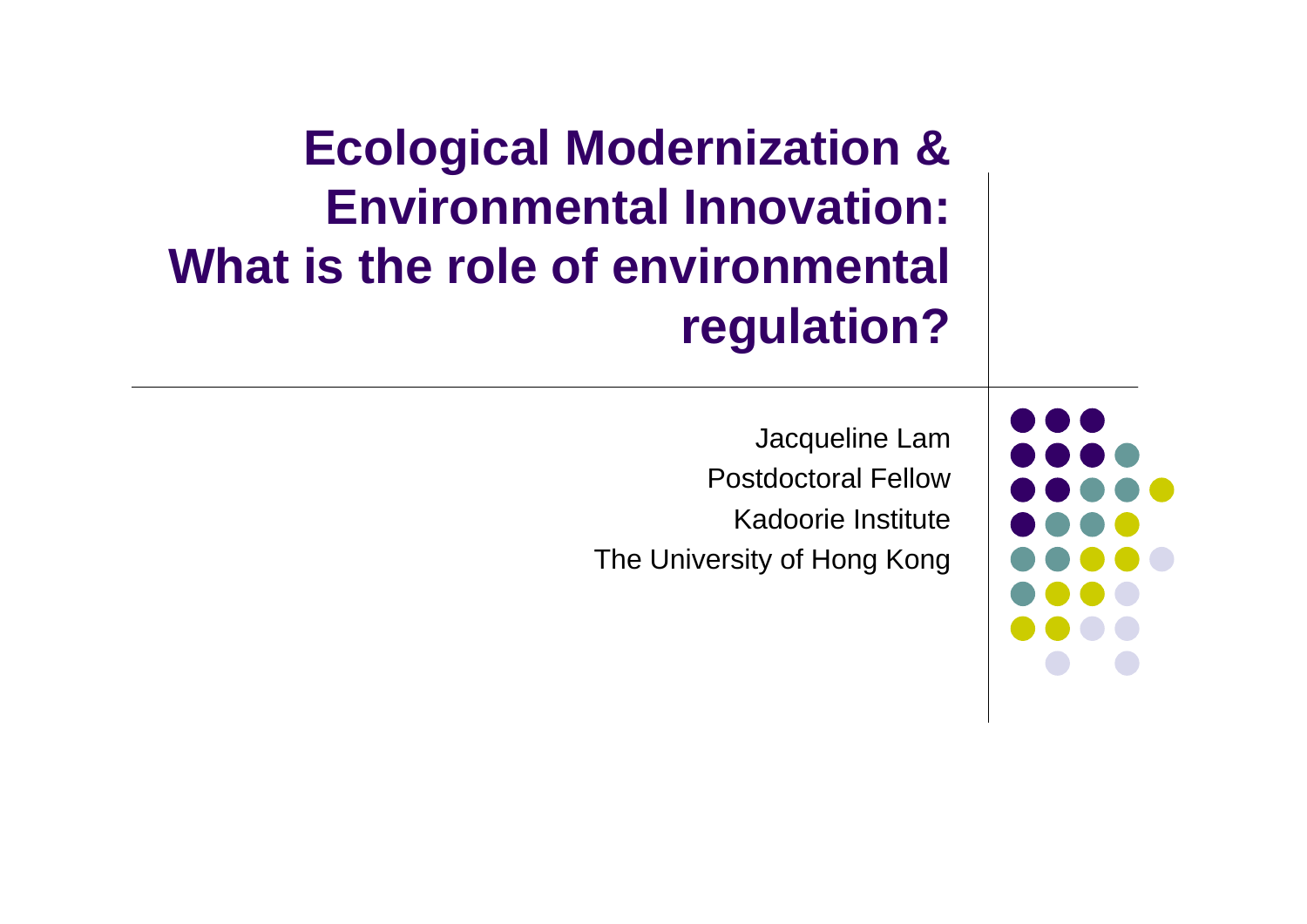### **Ecological Modernization & Environmental Innovation: What is the role of environmental regulation?**

Jacqueline Lam Postdoctoral FellowKadoorie InstituteThe University of Hong Kong

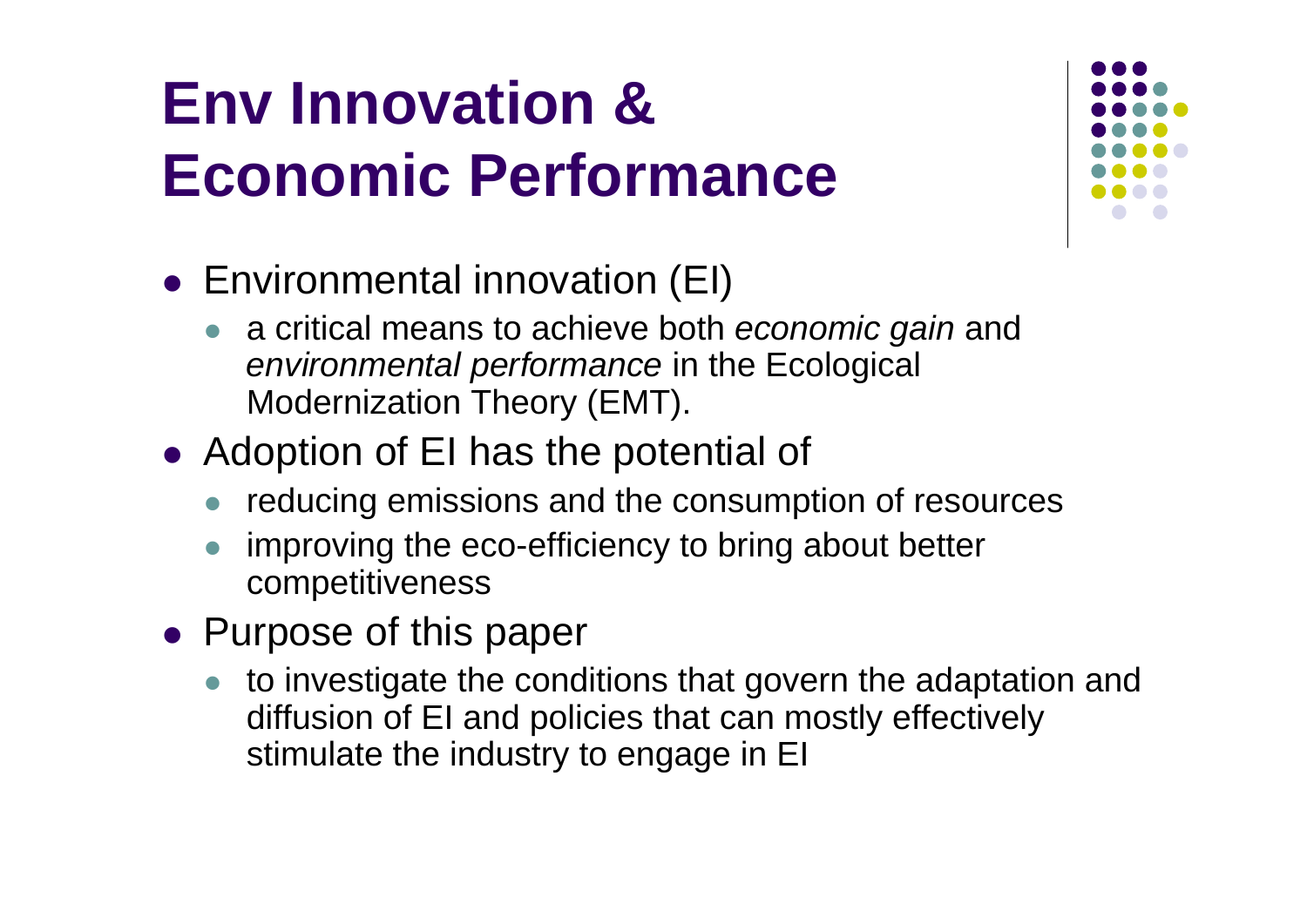### **Env Innovation & Economic Performance**



- Environmental innovation (EI)
	- a critical means to achieve both *economic gain* and *environmental performance* in the Ecological Modernization Theory (EMT).
- Adoption of EI has the potential of
	- $\bullet$ reducing emissions and the consumption of resources
	- $\bullet$  improving the eco-efficiency to bring about better competitiveness
- Purpose of this paper
	- to investigate the conditions that govern the adaptation and diffusion of EI and policies that can mostly effectively stimulate the industry to engage in EI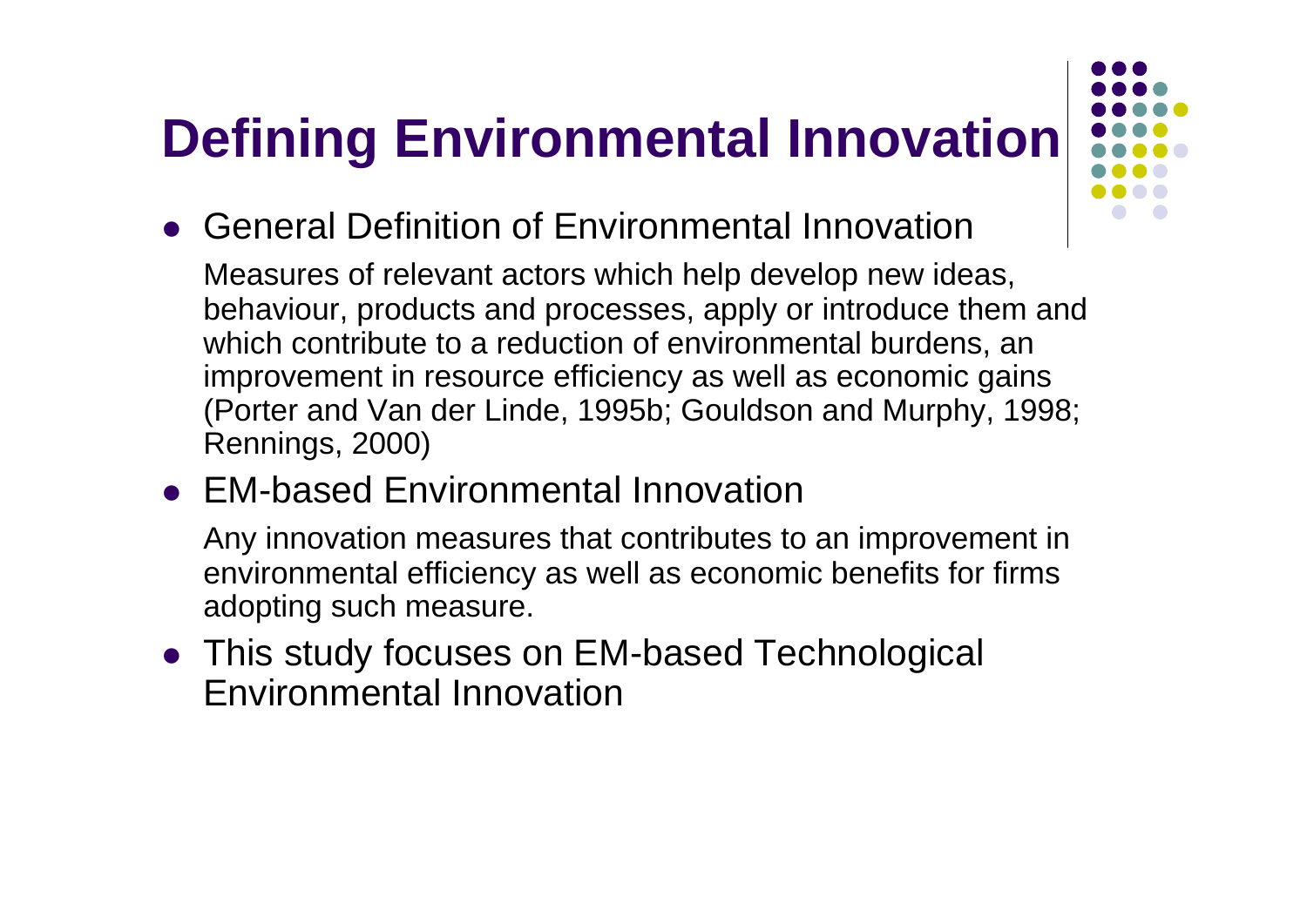### **Defining Environmental Innovation**

General Definition of Environmental Innovation

Measures of relevant actors which help develop new ideas, behaviour, products and processes, apply or introduce them and which contribute to a reduction of environmental burdens, an improvement in resource efficiency as well as economic gains (Porter and Van der Linde, 1995b; Gouldson and Murphy, 1998; Rennings, 2000)

EM-based Environmental Innovation

Any innovation measures that contributes to an improvement in environmental efficiency as well as economic benefits for firms adopting such measure.

 This study focuses on EM-based Technological Environmental Innovation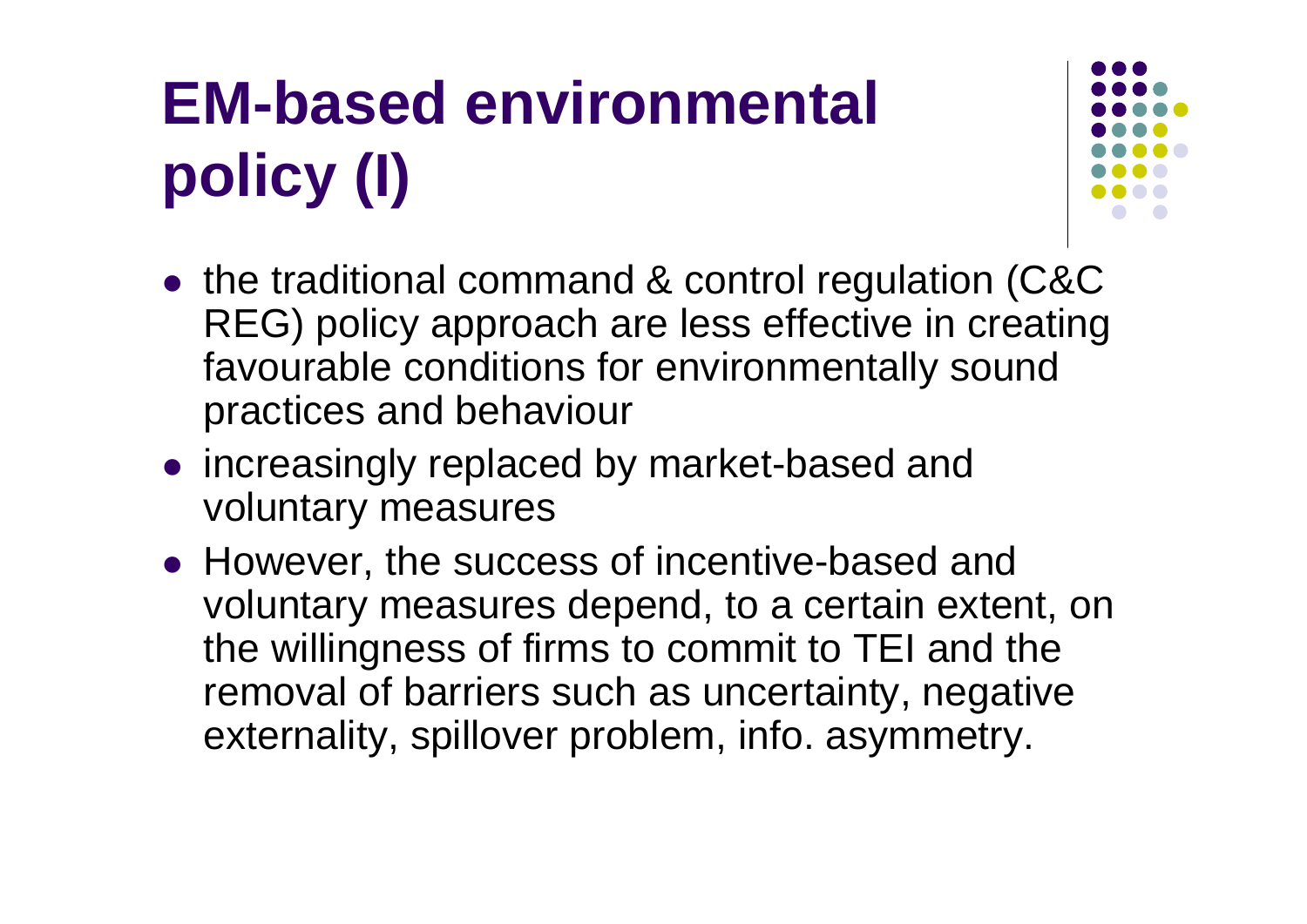# **EM-based environmental policy (I)**



- the traditional command & control regulation (C&C REG) policy approach are less effective in creating favourable conditions for environmentally sound practices and behaviour
- increasingly replaced by market-based and voluntary measures
- However, the success of incentive-based and voluntary measures depend, to a certain extent, on the willingness of firms to commit to TEI and the removal of barriers such as uncertainty, negative externality, spillover problem, info. asymmetry.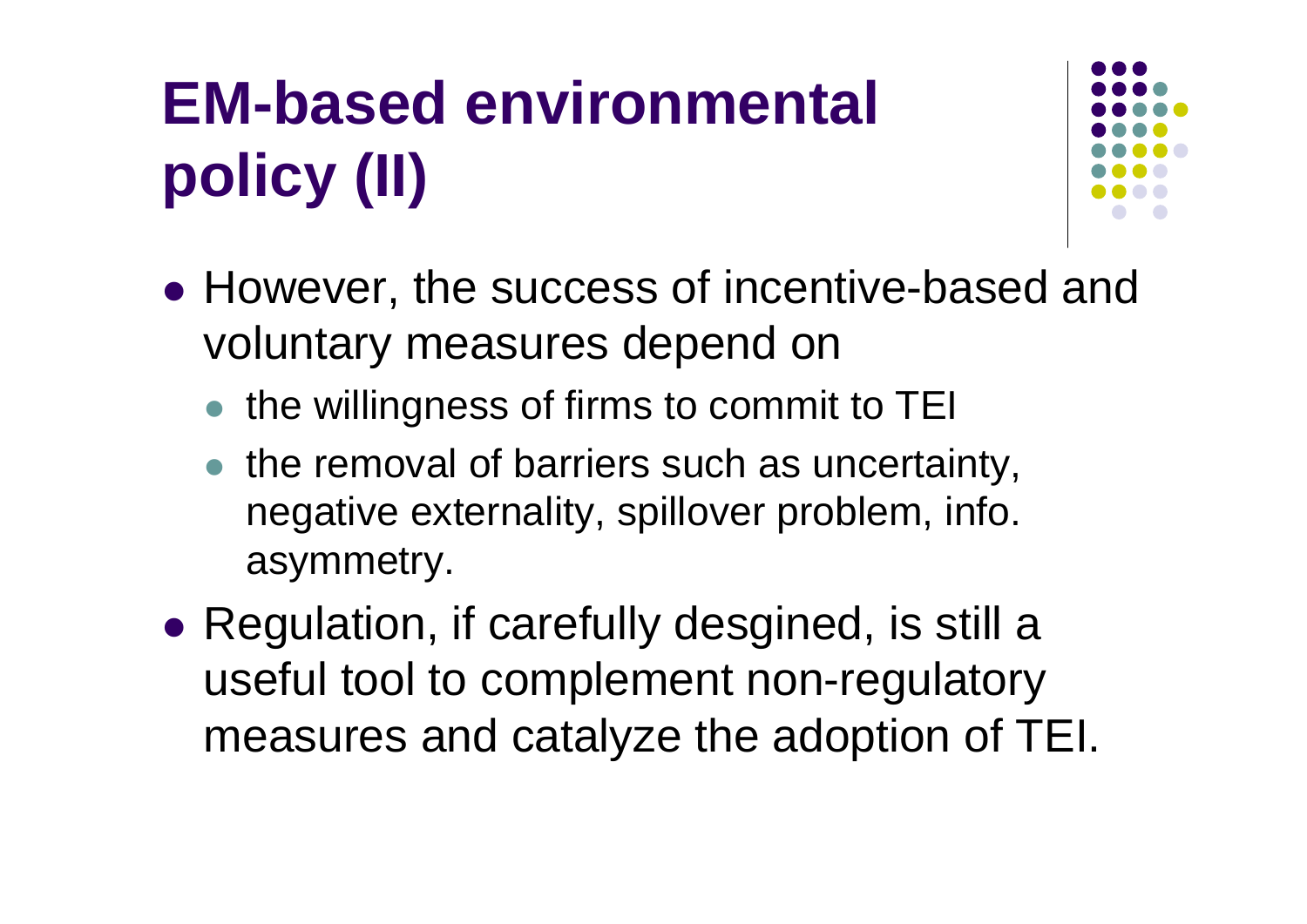# **EM-based environmental policy (II)**



- However, the success of incentive-based and voluntary measures depend on
	- the willingness of firms to commit to TEI
	- the removal of barriers such as uncertainty, negative externality, spillover problem, info. asymmetry.
- Regulation, if carefully desgined, is still a useful tool to complement non-regulatory measures and catalyze the adoption of TEI.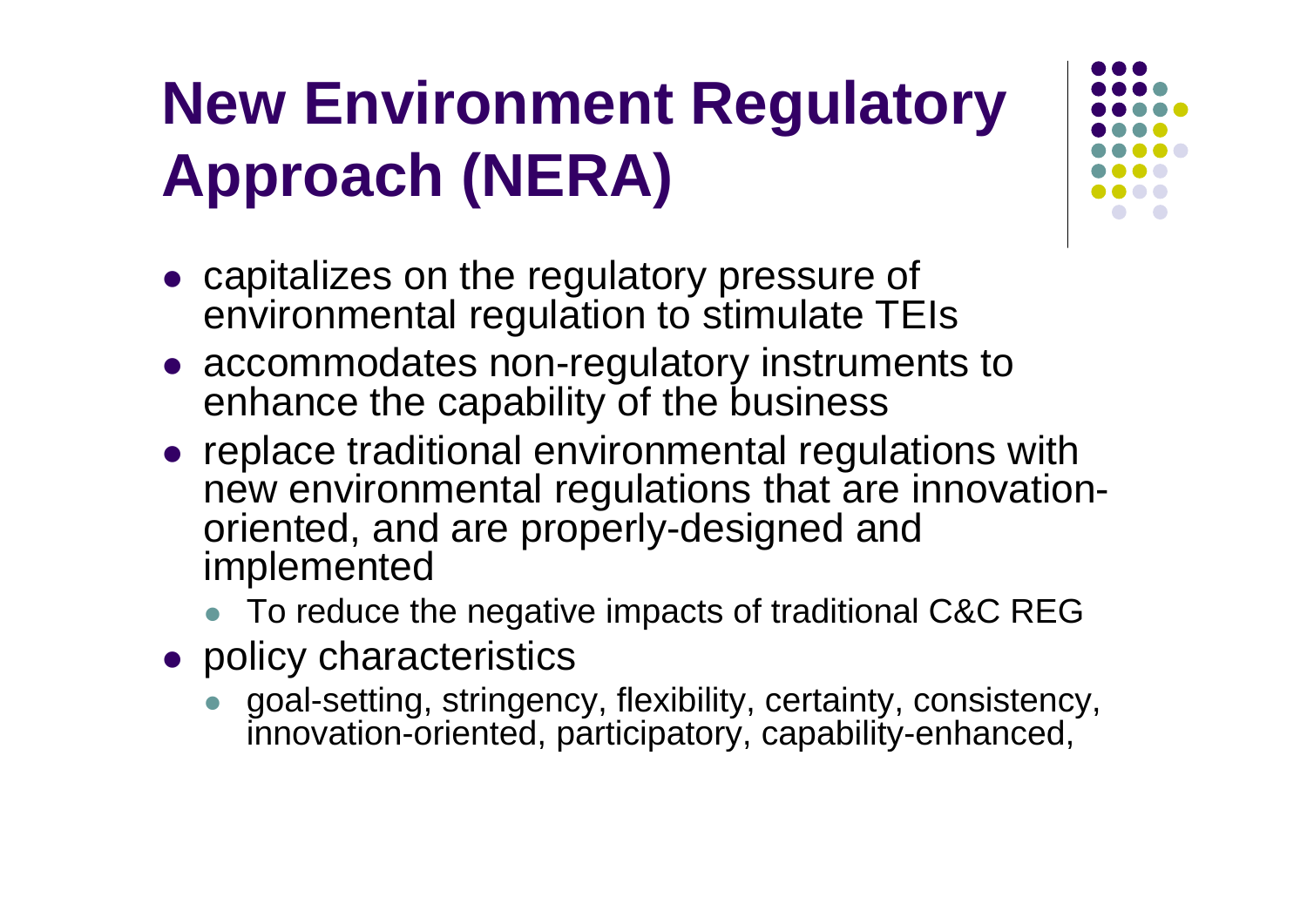### **New Environment Regulatory Approach (NERA)**

- capitalizes on the regulatory pressure of environmental regulation to stimulate TEIs
- accommodates non-regulatory instruments to enhance the capability of the business
- replace traditional environmental regulations with new environmental regulations that are innovationoriented, and are properly-designed and implemented
	- To reduce the negative impacts of traditional C&C REG
- policy characteristics
	- $\bullet$  goal-setting, stringency, flexibility, certainty, consistency, innovation-oriented, participatory, capability-enhanced,

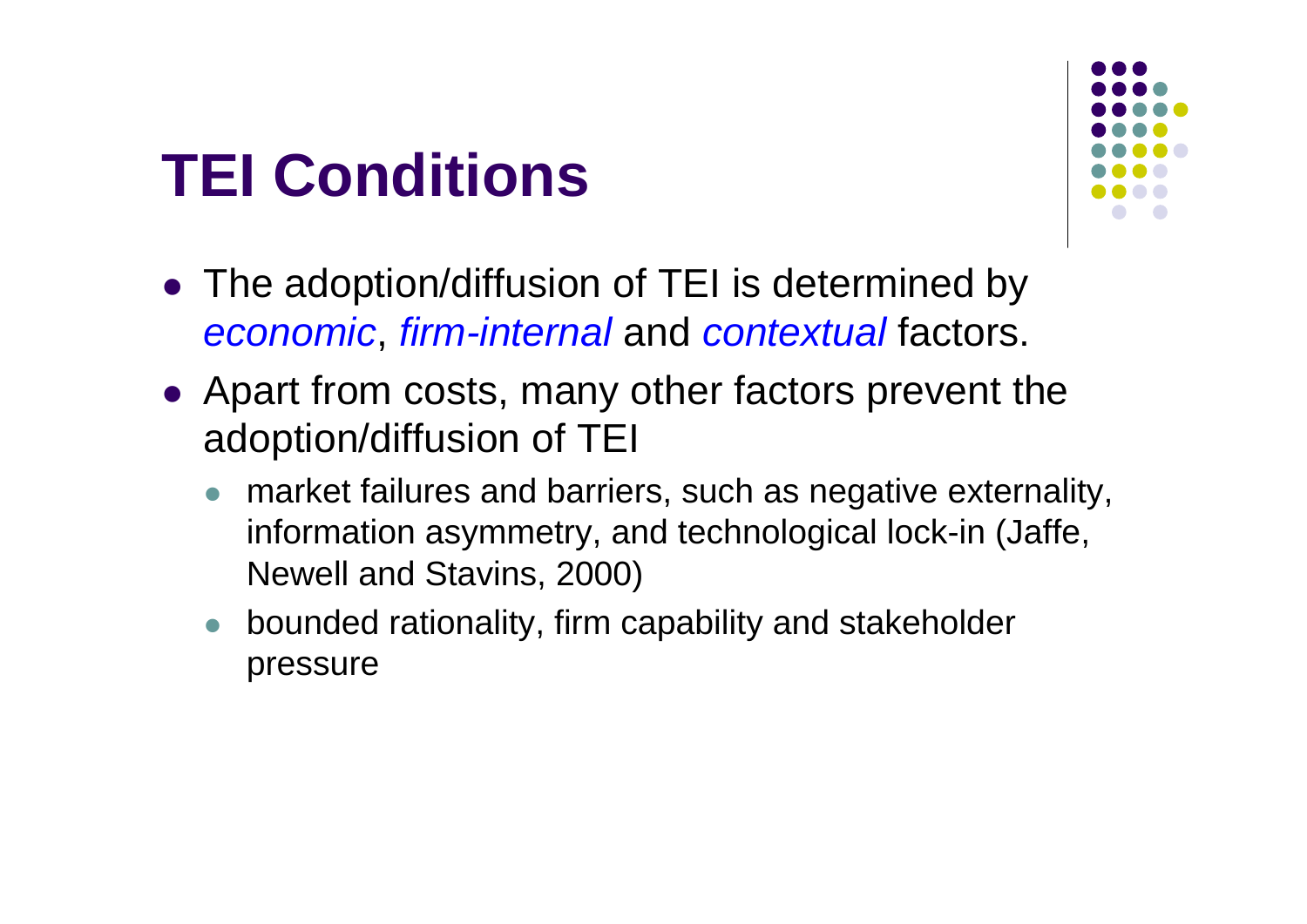### **TEI Conditions**



- The adoption/diffusion of TEI is determined by *economic*, *firm-internal* and *contextual* factors.
- Apart from costs, many other factors prevent the adoption/diffusion of TEI
	- $\bullet$  market failures and barriers, such as negative externality, information asymmetry, and technological lock-in (Jaffe, Newell and Stavins, 2000)
	- $\bullet$  bounded rationality, firm capability and stakeholder pressure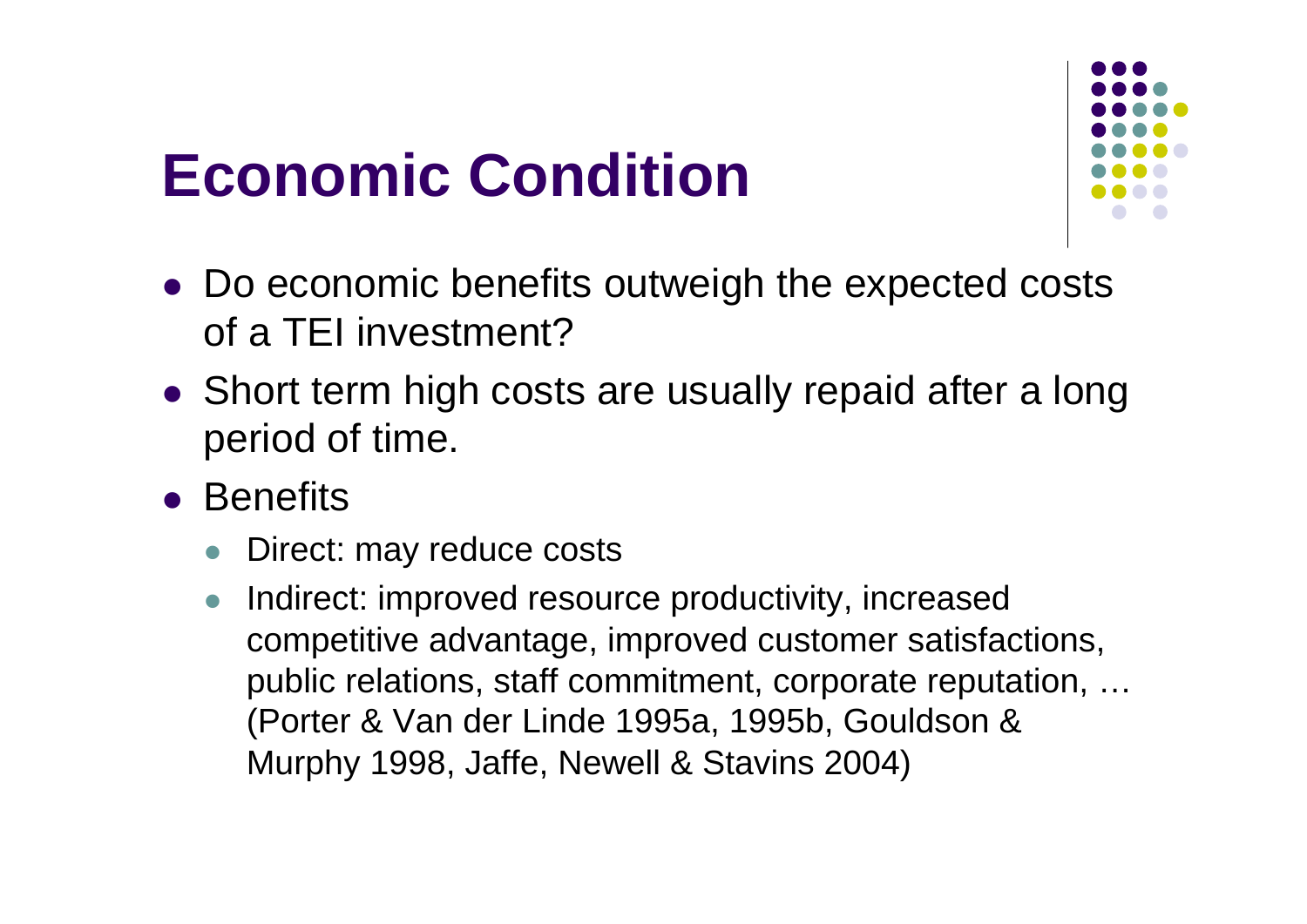### **Economic Condition**



- Do economic benefits outweigh the expected costs of a TEI investment?
- Short term high costs are usually repaid after a long period of time.
- **•** Benefits
	- $\bullet$ Direct: may reduce costs
	- $\bullet$  Indirect: improved resource productivity, increased competitive advantage, improved customer satisfactions, public relations, staff commitment, corporate reputation, … (Porter & Van der Linde 1995a, 1995b, Gouldson & Murphy 1998, Jaffe, Newell & Stavins 2004)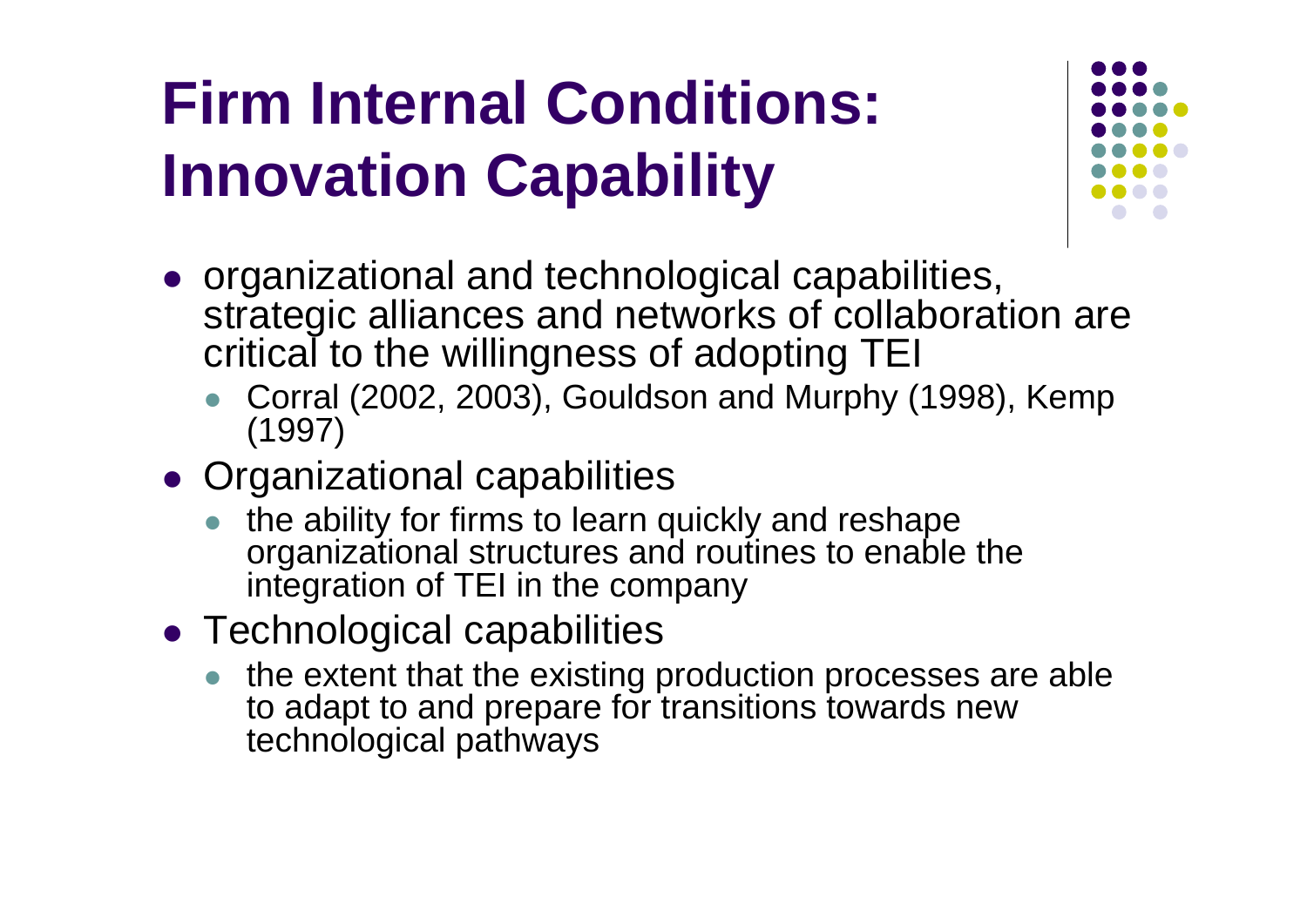### **Firm Internal Conditions: Innovation Capability**



- organizational and technological capabilities, strategic alliances and networks of collaboration are critical to the willingness of adopting TEI
	- Corral (2002, 2003), Gouldson and Murphy (1998), Kemp (1997)
- **Organizational capabilities** 
	- $\bullet$  the ability for firms to learn quickly and reshape organizational structures and routines to enable the integration of TEI in the company
- Technological capabilities
	- $\bullet$  the extent that the existing production processes are able to adapt to and prepare for transitions towards new technological pathways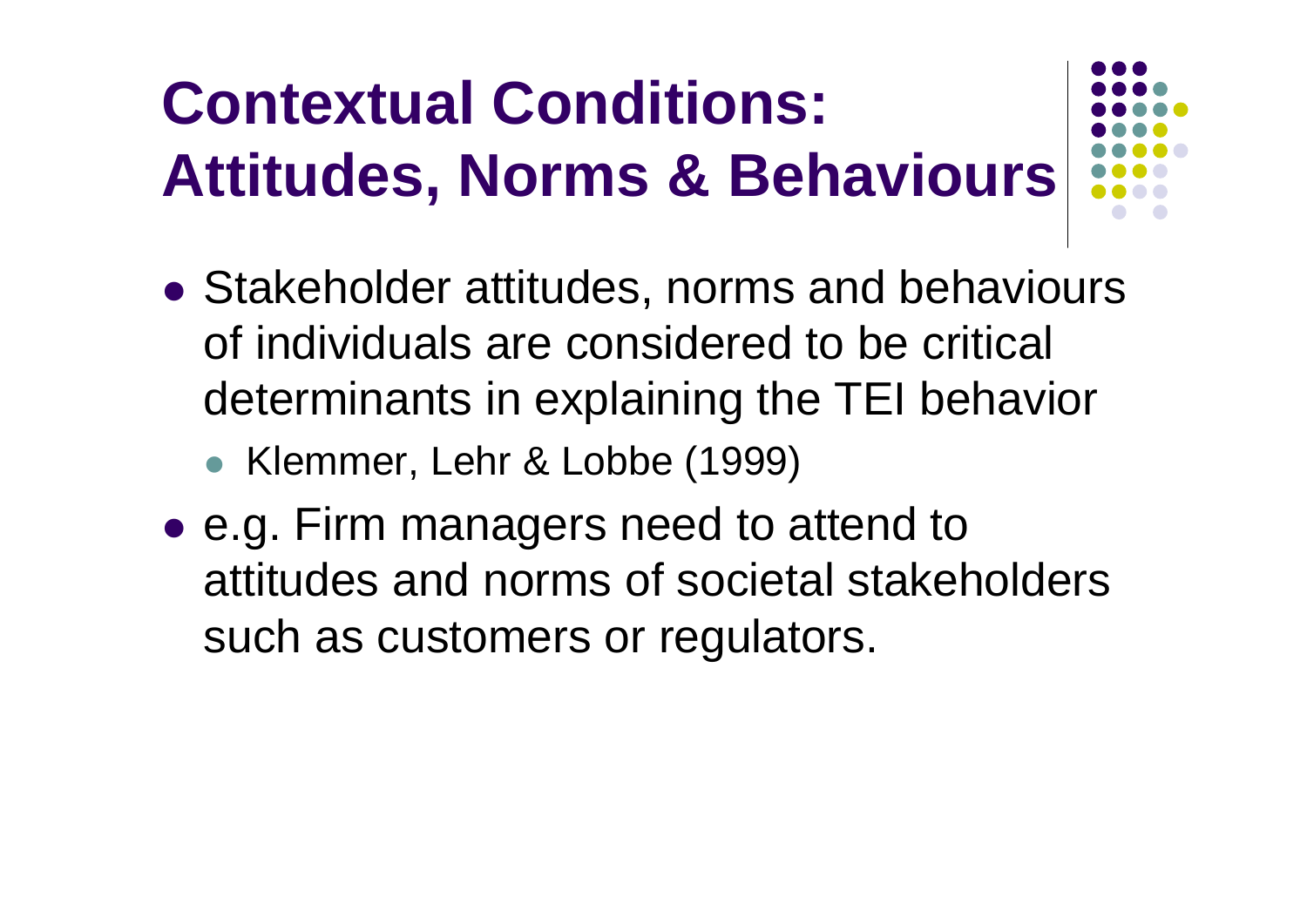## **Contextual Conditions: Attitudes, Norms & Behaviours**



- Stakeholder attitudes, norms and behaviours of individuals are considered to be critical determinants in explaining the TEI behavior
	- Klemmer, Lehr & Lobbe (1999)
- e.g. Firm managers need to attend to attitudes and norms of societal stakeholders such as customers or regulators.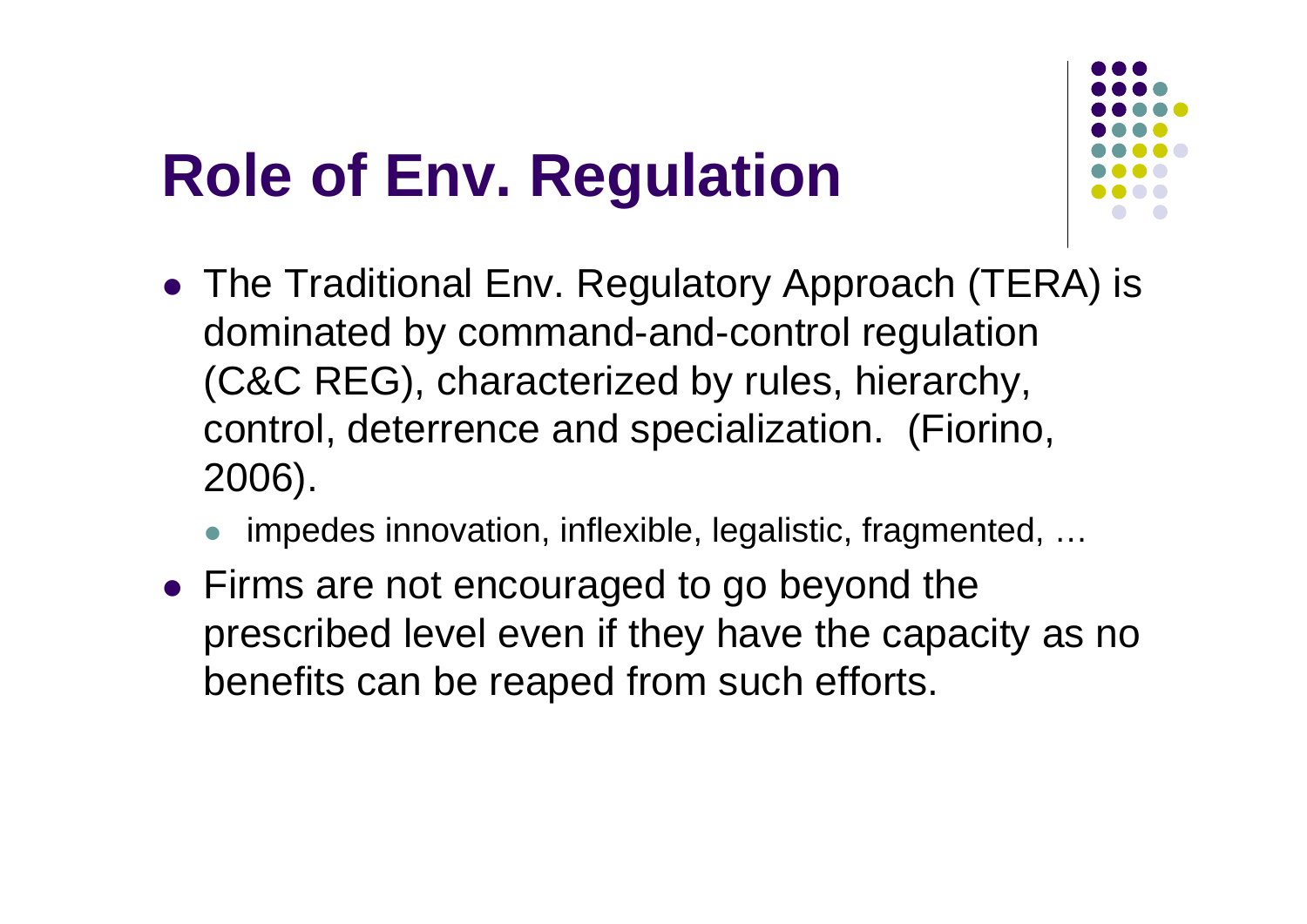### **Role of Env. Regulation**



- The Traditional Env. Regulatory Approach (TERA) is dominated by command-and-control regulation (C&C REG), characterized by rules, hierarchy, control, deterrence and specialization. (Fiorino, 2006).
	- $\bullet$ impedes innovation, inflexible, legalistic, fragmented, …
- Firms are not encouraged to go beyond the prescribed level even if they have the capacity as no benefits can be reaped from such efforts.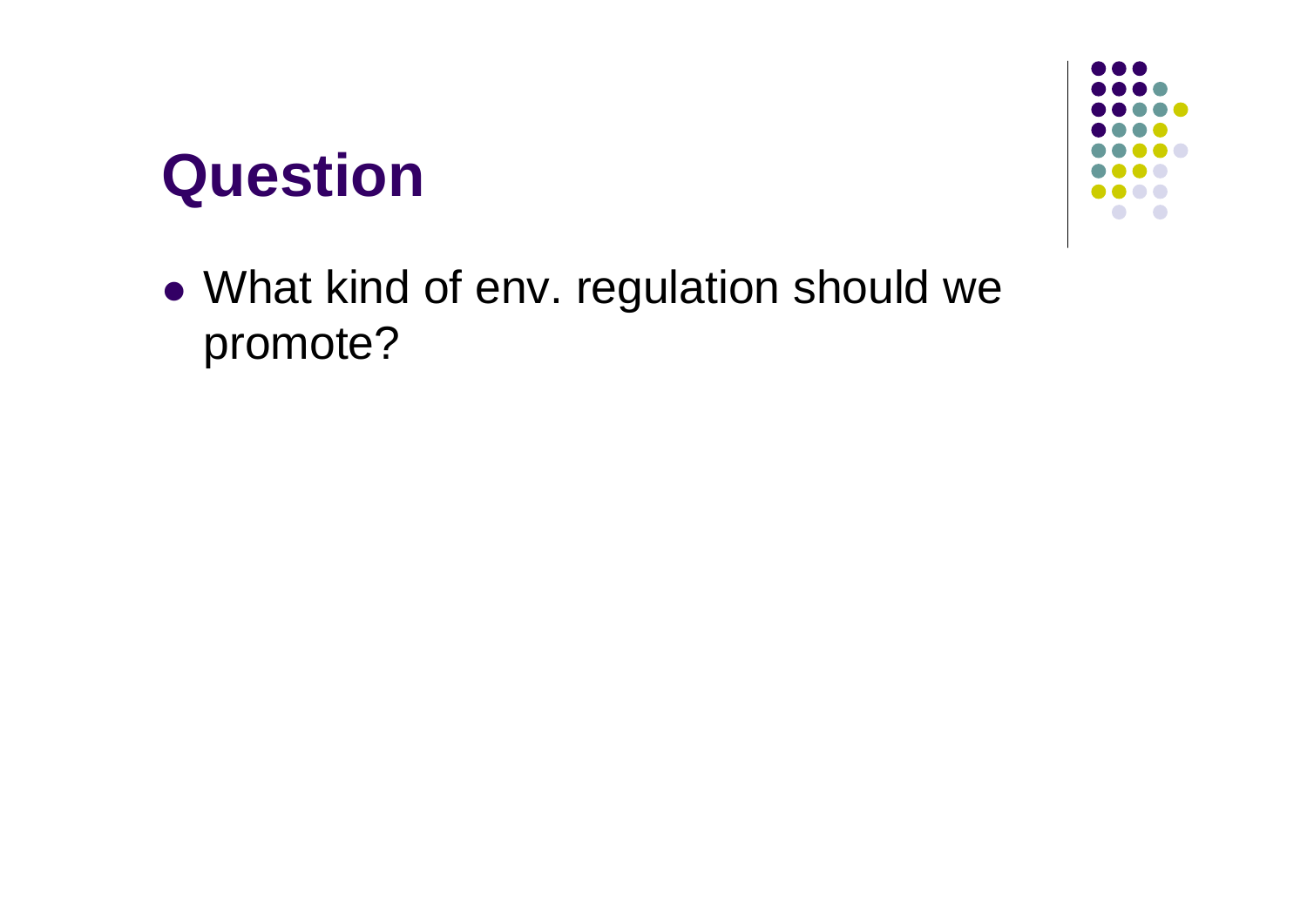### **Question**



 What kind of env. regulation should we promote?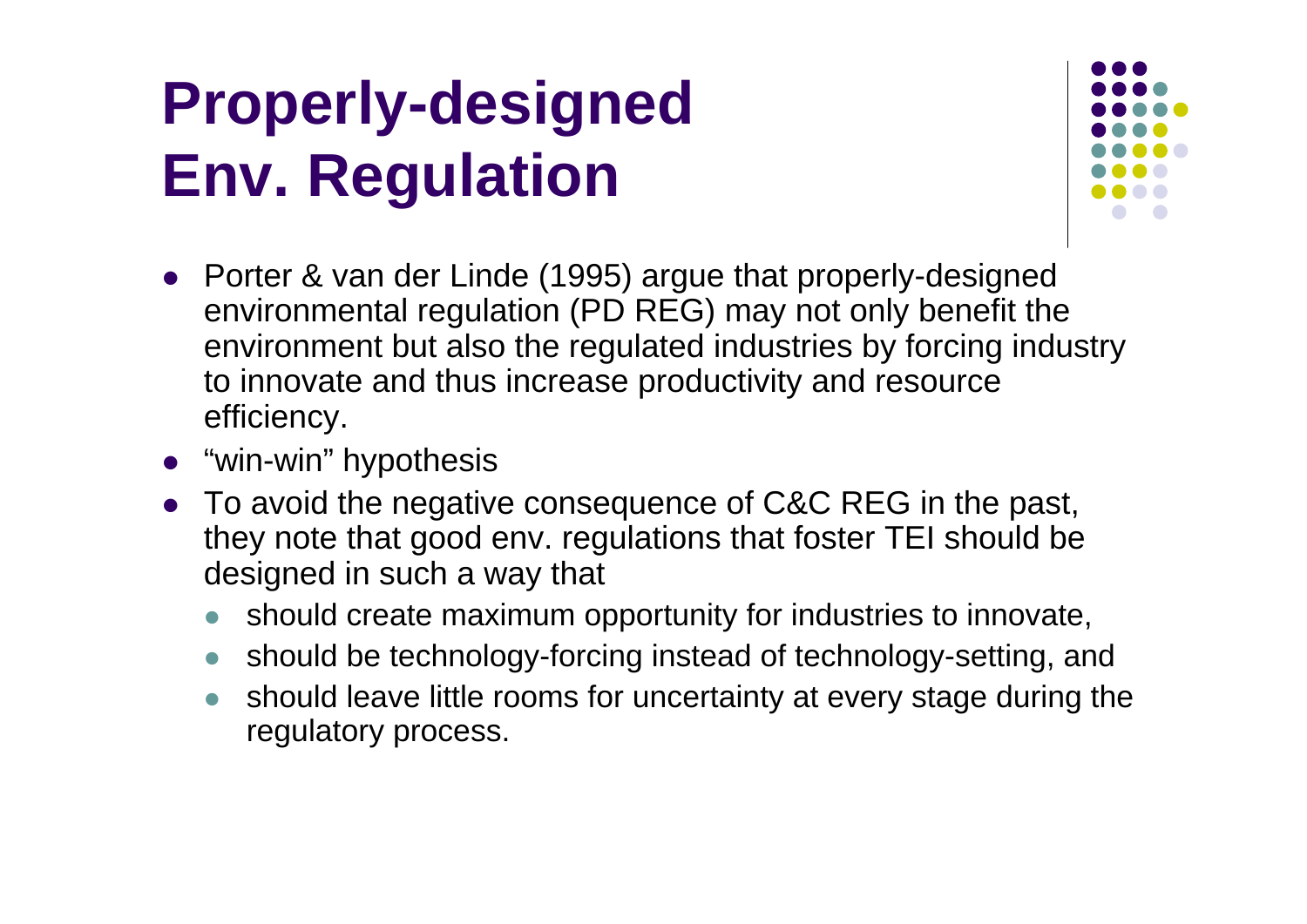### **Properly-designed Env. Regulation**



- Porter & van der Linde (1995) argue that properly-designed environmental regulation (PD REG) may not only benefit the environment but also the regulated industries by forcing industry to innovate and thus increase productivity and resource efficiency.
- "win-win" hypothesis
- $\bullet$  To avoid the negative consequence of C&C REG in the past, they note that good env. regulations that foster TEI should be designed in such a way that
	- $\bullet$ should create maximum opportunity for industries to innovate,
	- $\bullet$ should be technology-forcing instead of technology-setting, and
	- $\bullet$  should leave little rooms for uncertainty at every stage during the regulatory process.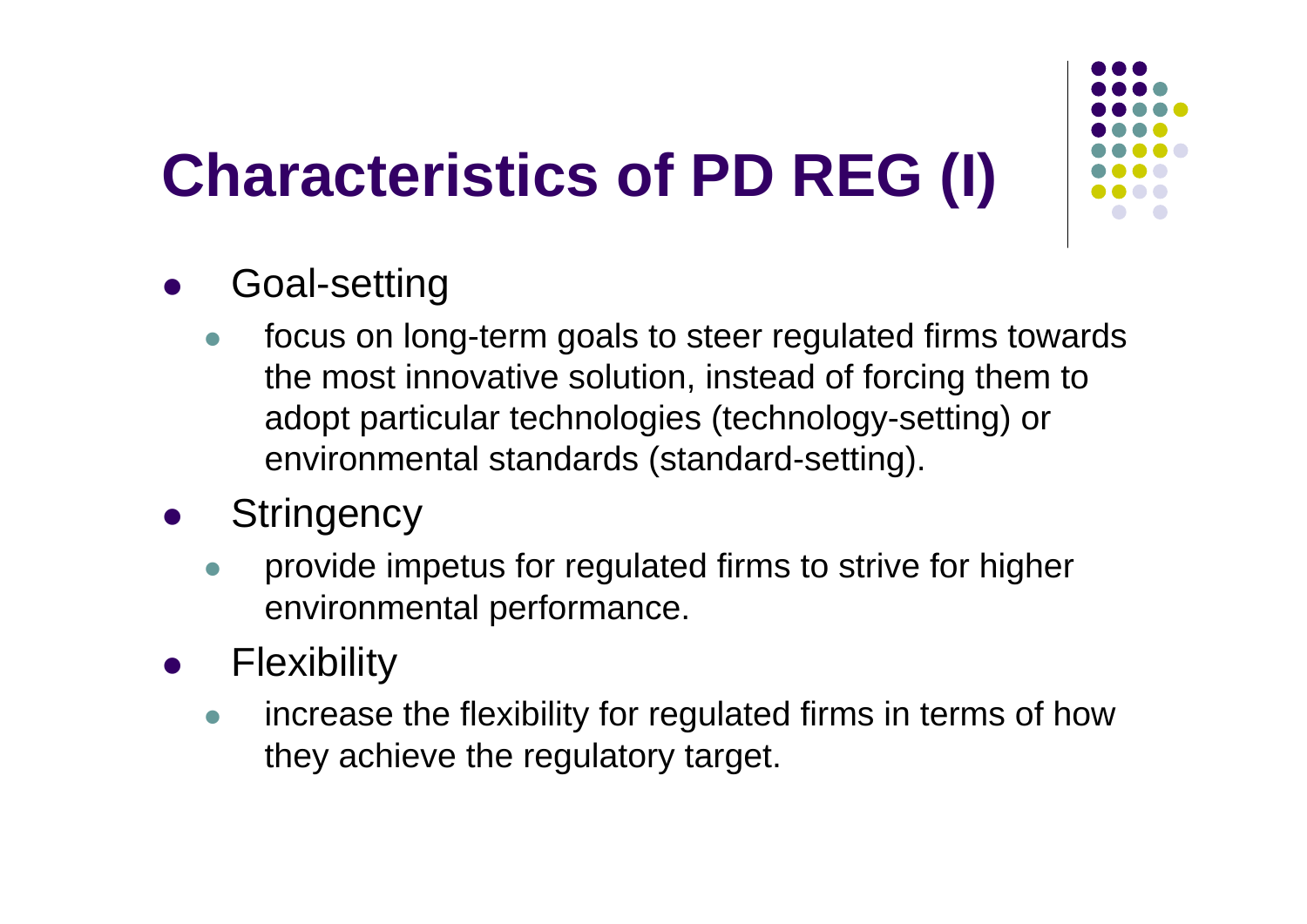# **Characteristics of PD REG (I)**



#### $\bullet$ Goal-setting

- $\bullet$  focus on long-term goals to steer regulated firms towards the most innovative solution, instead of forcing them to adopt particular technologies (technology-setting) or environmental standards (standard-setting).
- $\bullet$ **Stringency** 
	- $\bullet$  provide impetus for regulated firms to strive for higher environmental performance.
- $\bullet$  Flexibility
	- $\bullet$  increase the flexibility for regulated firms in terms of how they achieve the regulatory target.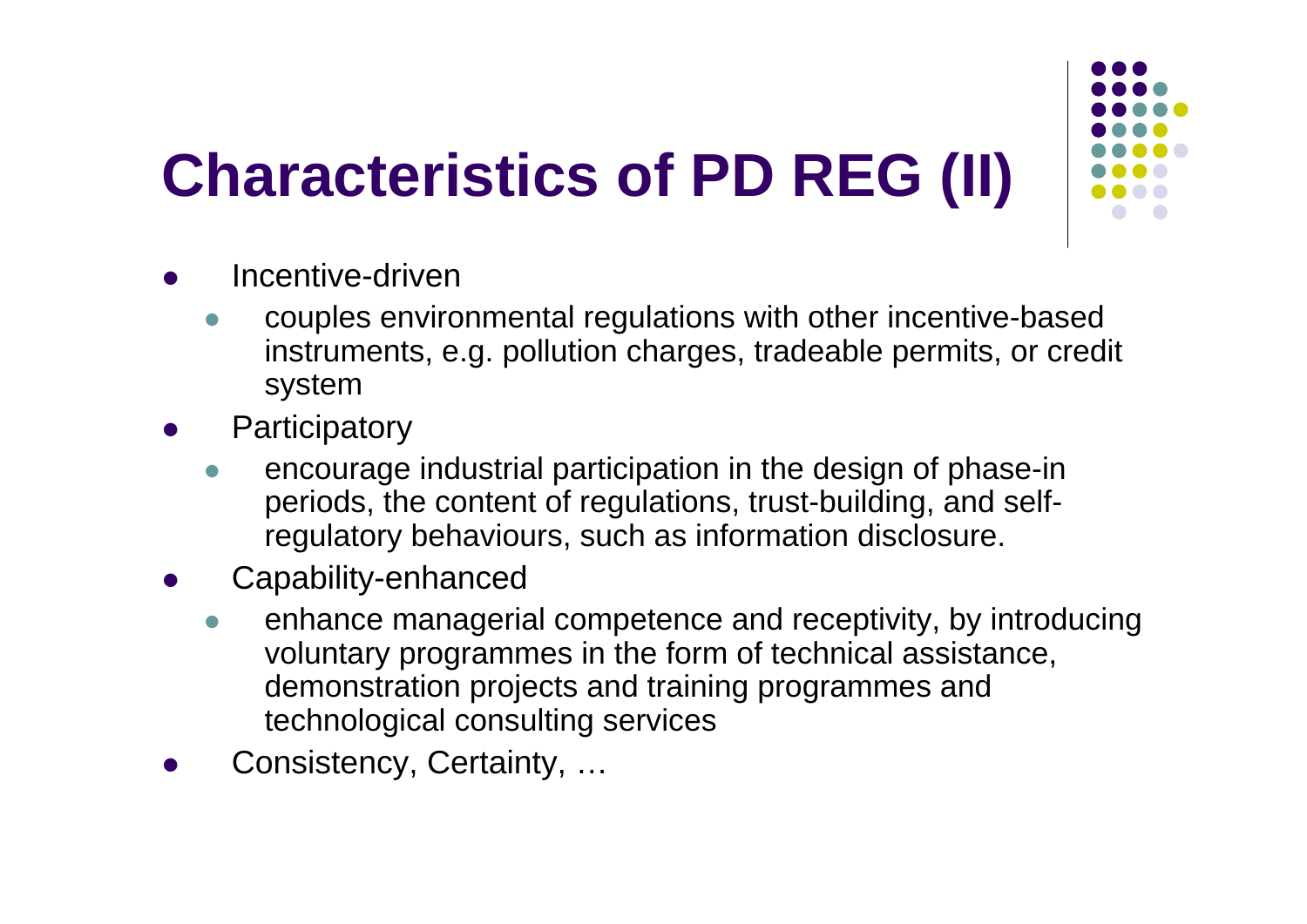## **Characteristics of PD REG (II)**



- $\bullet$  Incentive-driven
	- $\bullet$  couples environmental regulations with other incentive-based instruments, e.g. pollution charges, tradeable permits, or credit system
- $\bullet$ **Participatory** 
	- $\bullet$  encourage industrial participation in the design of phase-in periods, the content of regulations, trust-building, and selfregulatory behaviours, such as information disclosure.
- $\bullet$  Capability-enhanced
	- $\bullet$  enhance managerial competence and receptivity, by introducing voluntary programmes in the form of technical assistance, demonstration projects and training programmes and technological consulting services
- $\bullet$ Consistency, Certainty, …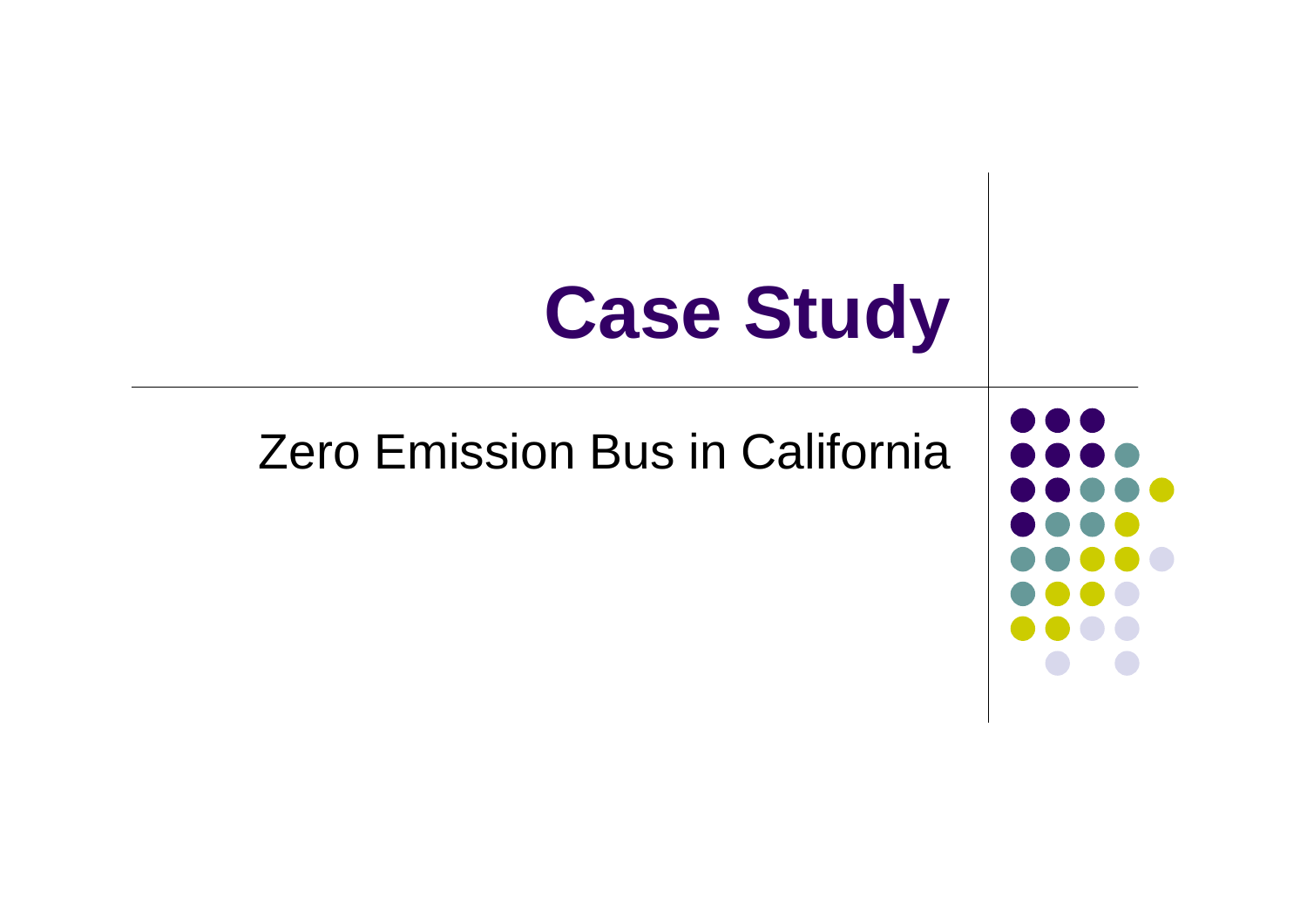# **Case Study**

### Zero Emission Bus in California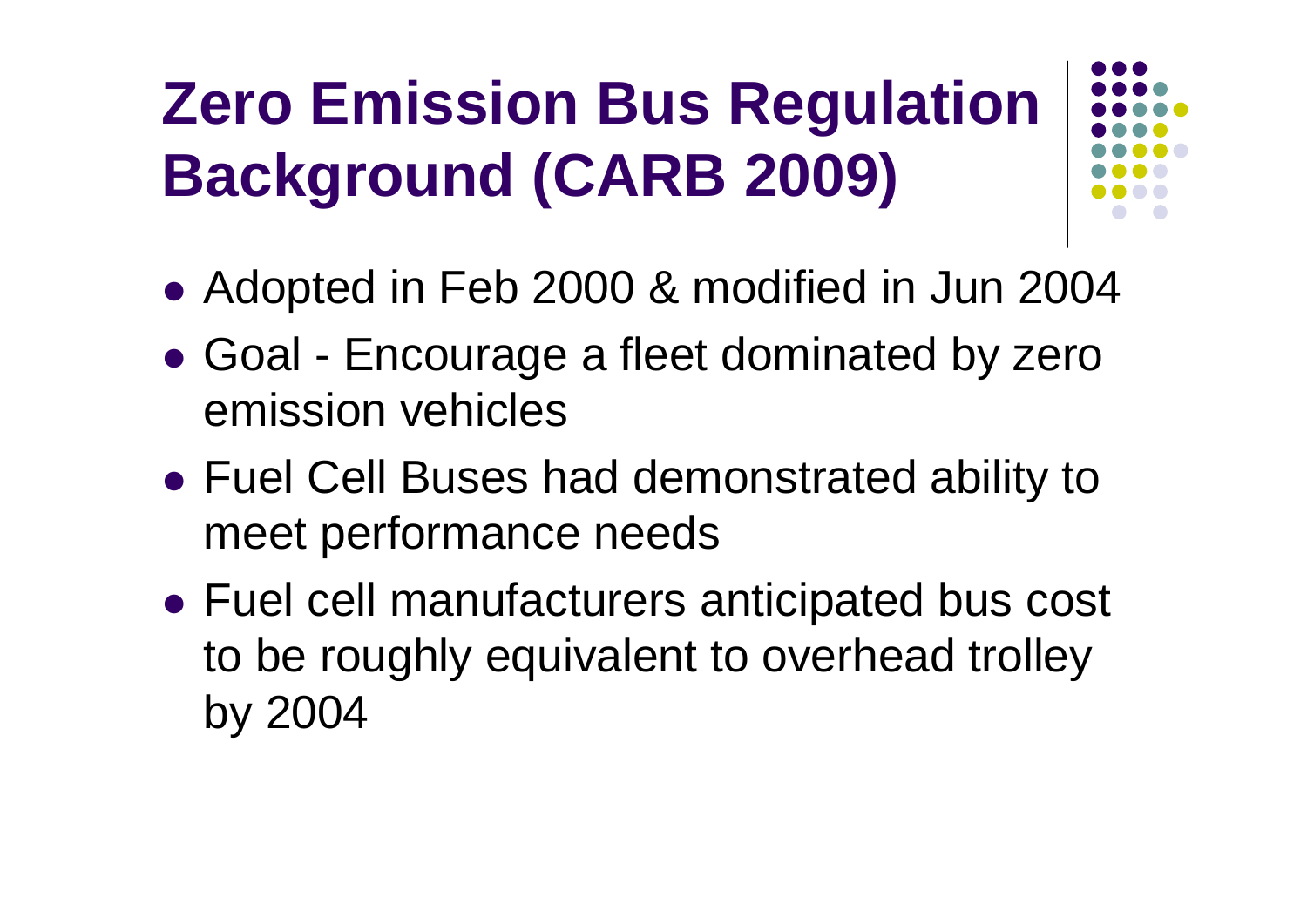## **Zero Emission Bus Regulation Background (CARB 2009)**

- Adopted in Feb 2000 & modified in Jun 2004
- $\bullet$  Goal - Encourage a fleet dominated by zero emission vehicles
- Fuel Cell Buses had demonstrated ability to meet performance needs
- Fuel cell manufacturers anticipated bus cost to be roughly equivalent to overhead trolley by 2004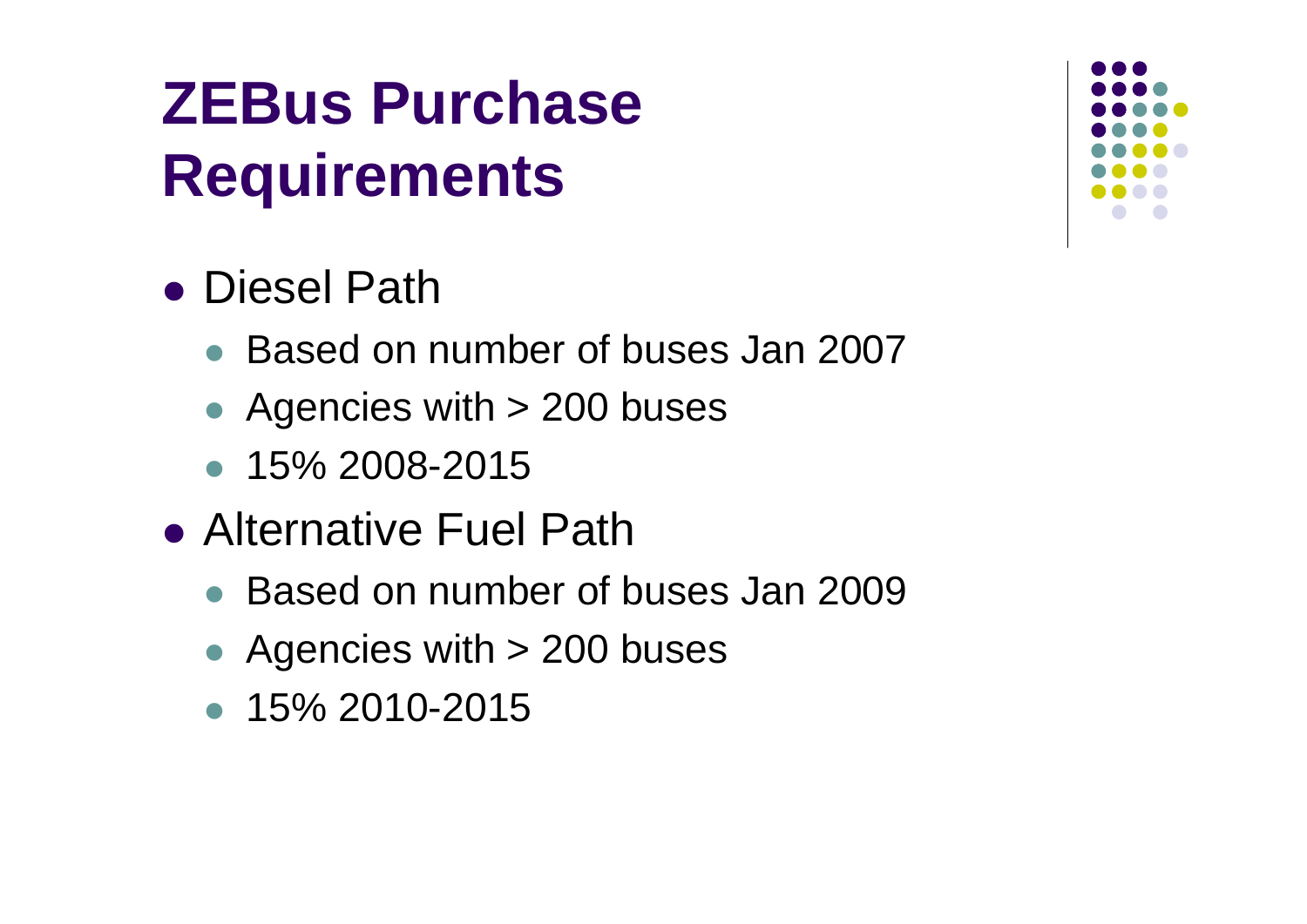### **ZEBus Purchase Requirements**

### ● Diesel Path

- Based on number of buses Jan 2007
- $\bullet$ Agencies with > 200 buses
- 15% 2008-2015
- Alternative Fuel Path
	- Based on number of buses Jan 2009
	- $\bullet$ Agencies with > 200 buses
	- 15% 2010-2015

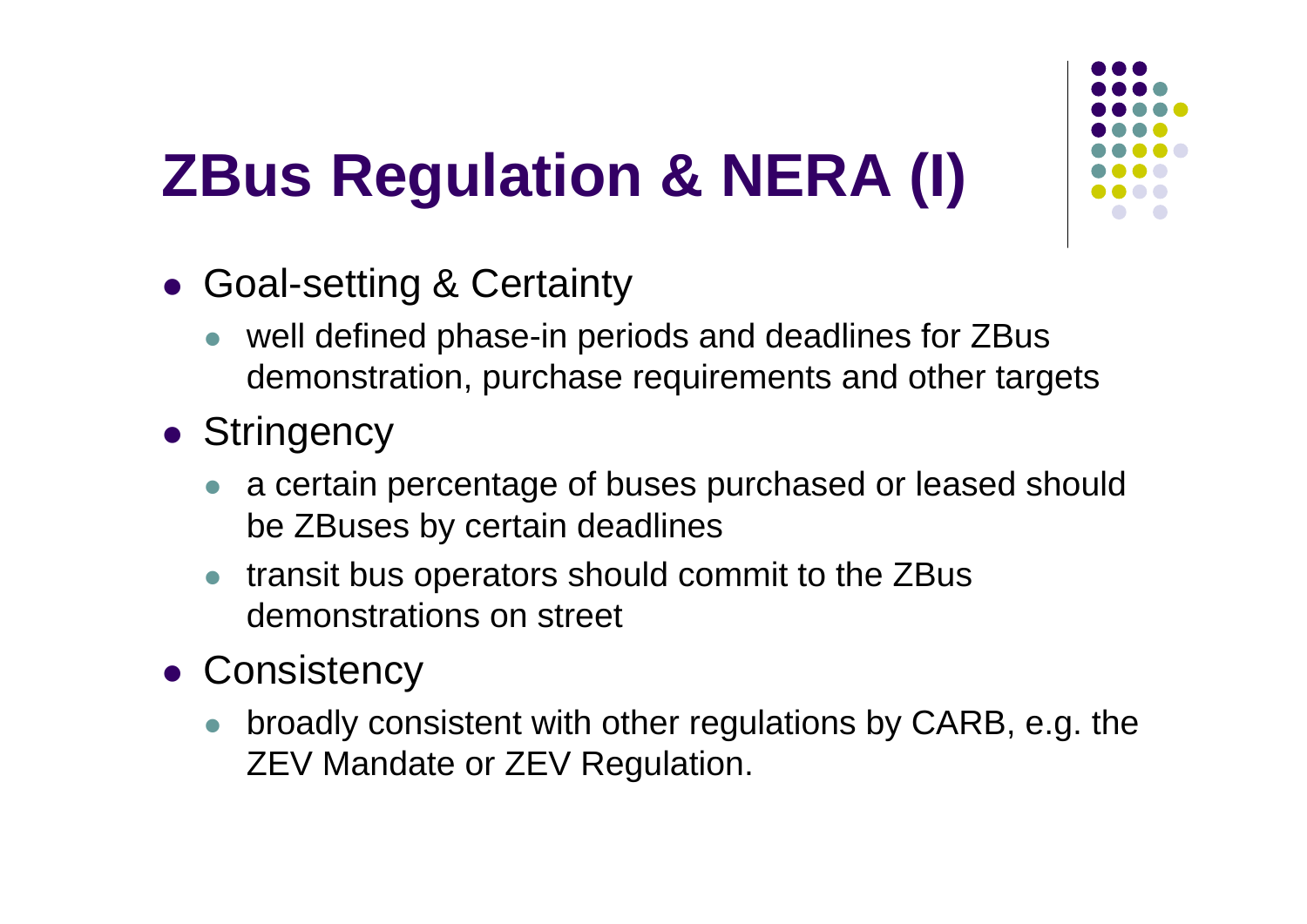## **ZBus Regulation & NERA (I)**



- Goal-setting & Certainty
	- $\bullet$  well defined phase-in periods and deadlines for ZBus demonstration, purchase requirements and other targets
- **Stringency** 
	- a certain percentage of buses purchased or leased should be ZBuses by certain deadlines
	- $\bullet$  transit bus operators should commit to the ZBus demonstrations on street
- **Consistency** 
	- $\bullet$  broadly consistent with other regulations by CARB, e.g. the ZEV Mandate or ZEV Regulation.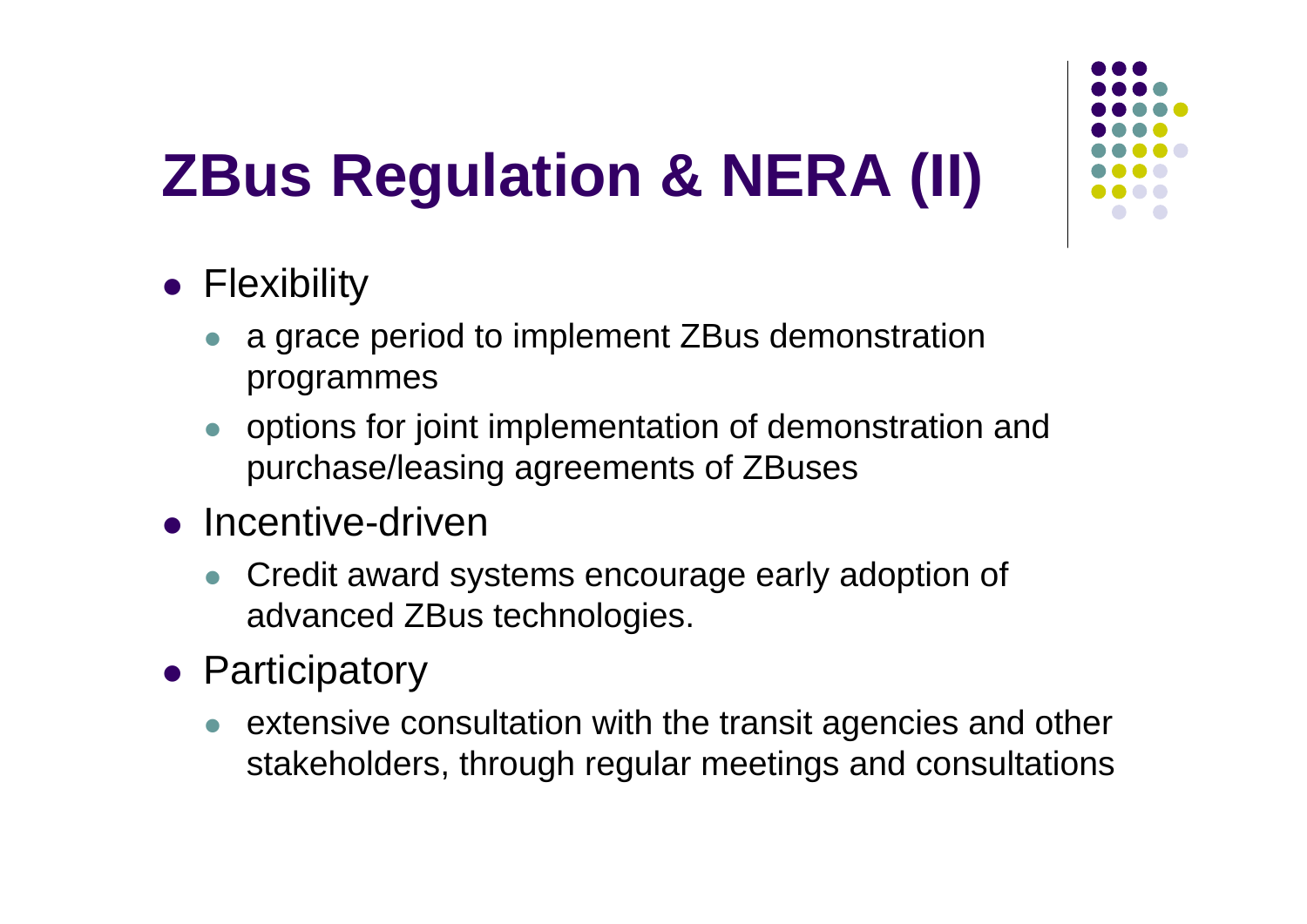## **ZBus Regulation & NERA (II)**

- **•** Flexibility
	- $\bullet$  a grace period to implement ZBus demonstration programmes
	- $\bullet$  options for joint implementation of demonstration and purchase/leasing agreements of ZBuses
- Incentive-driven
	- $\bullet$  Credit award systems encourage early adoption of advanced ZBus technologies.
- **Participatory** 
	- $\bullet$  extensive consultation with the transit agencies and other stakeholders, through regular meetings and consultations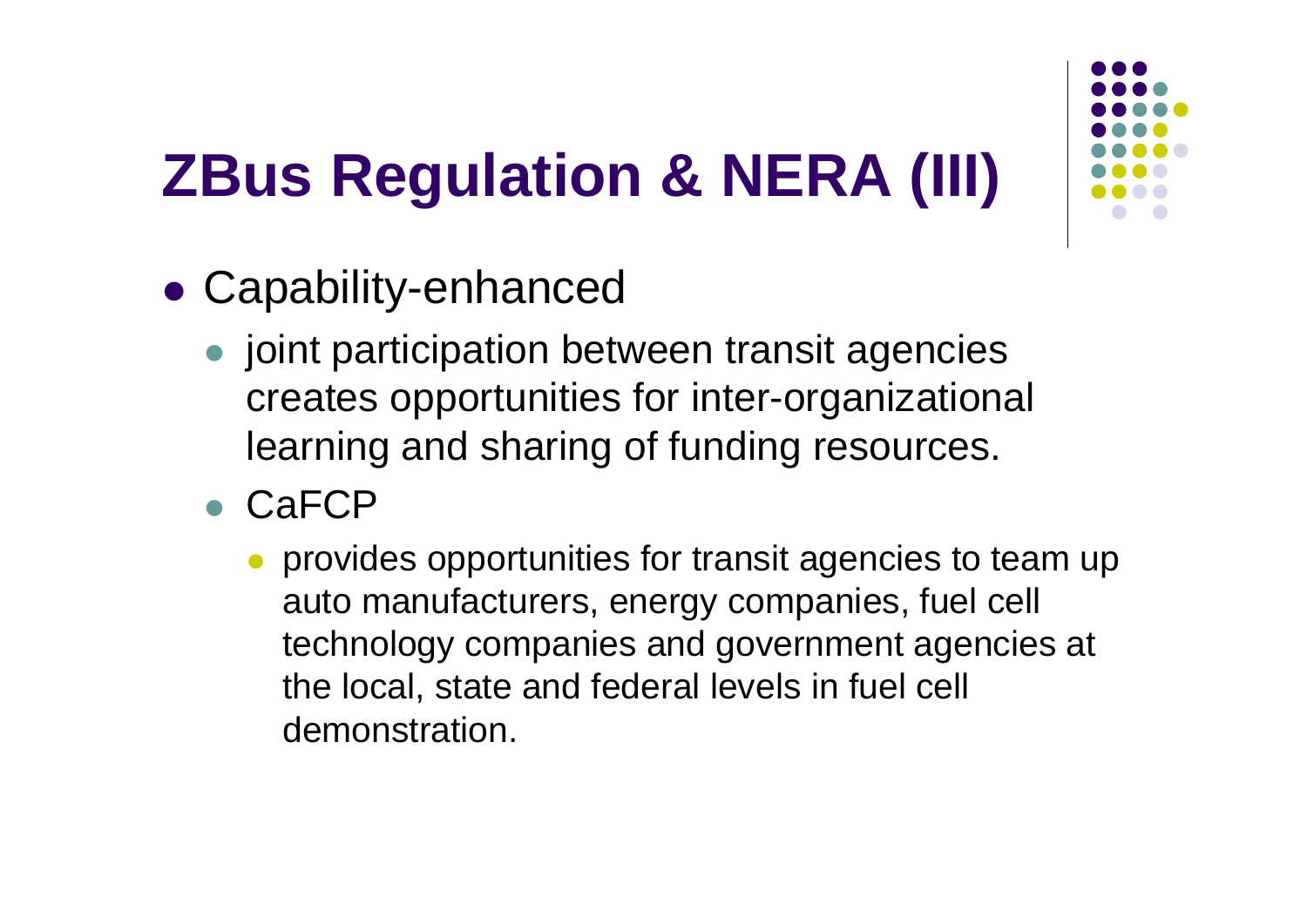### **ZBus Regulation & NERA (III)**



- Capability-enhanced
	- **•** joint participation between transit agencies creates opportunities for inter-organizational learning and sharing of funding resources.
	- CaFCP
		- $\bullet$  provides opportunities for transit agencies to team up auto manufacturers, energy companies, fuel cell technology companies and government agencies at the local, state and federal levels in fuel cell demonstration.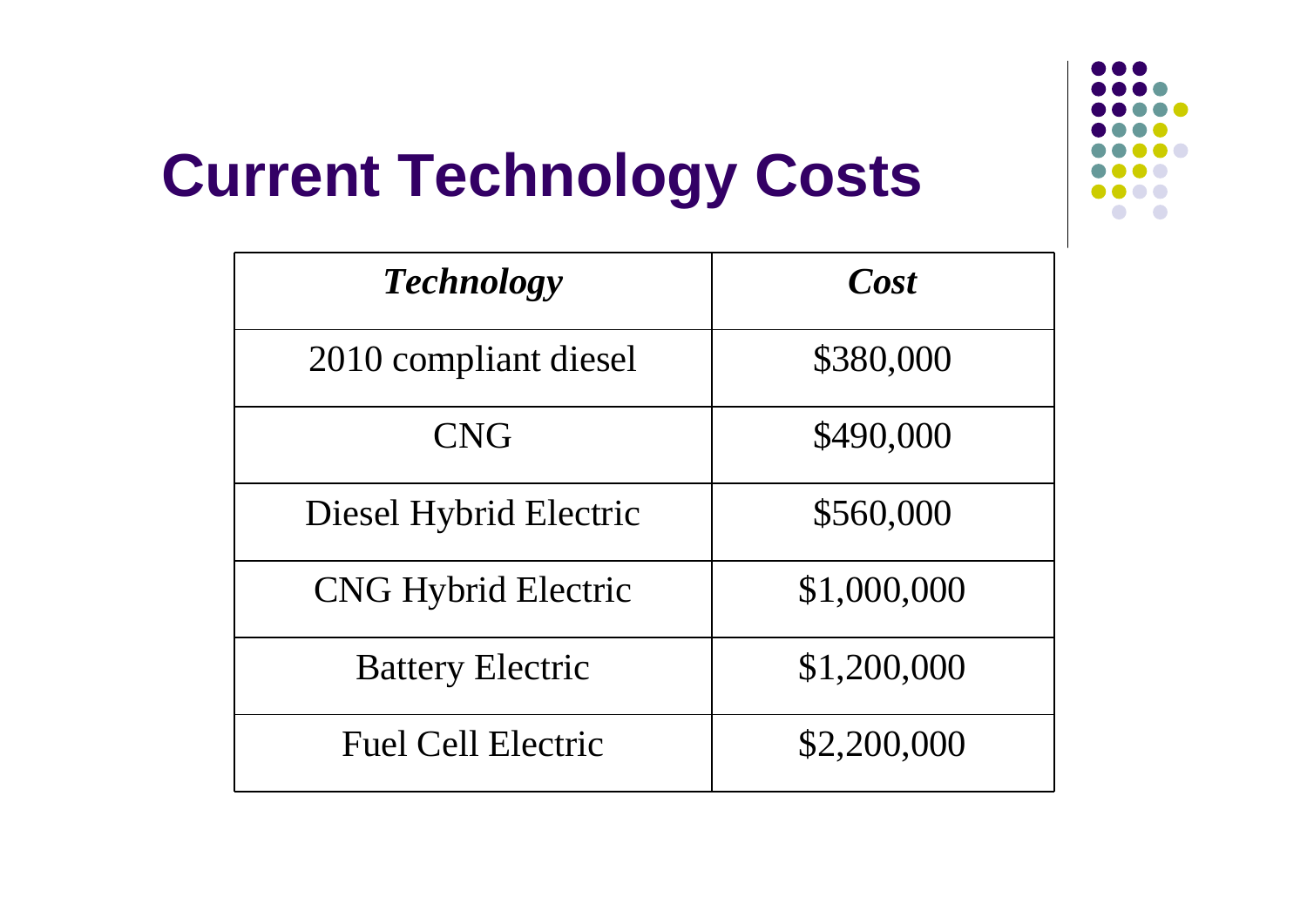

### **Current Technology Costs**

| <b>Technology</b>          | Cost        |
|----------------------------|-------------|
| 2010 compliant diesel      | \$380,000   |
| <b>CNG</b>                 | \$490,000   |
| Diesel Hybrid Electric     | \$560,000   |
| <b>CNG Hybrid Electric</b> | \$1,000,000 |
| <b>Battery Electric</b>    | \$1,200,000 |
| <b>Fuel Cell Electric</b>  | \$2,200,000 |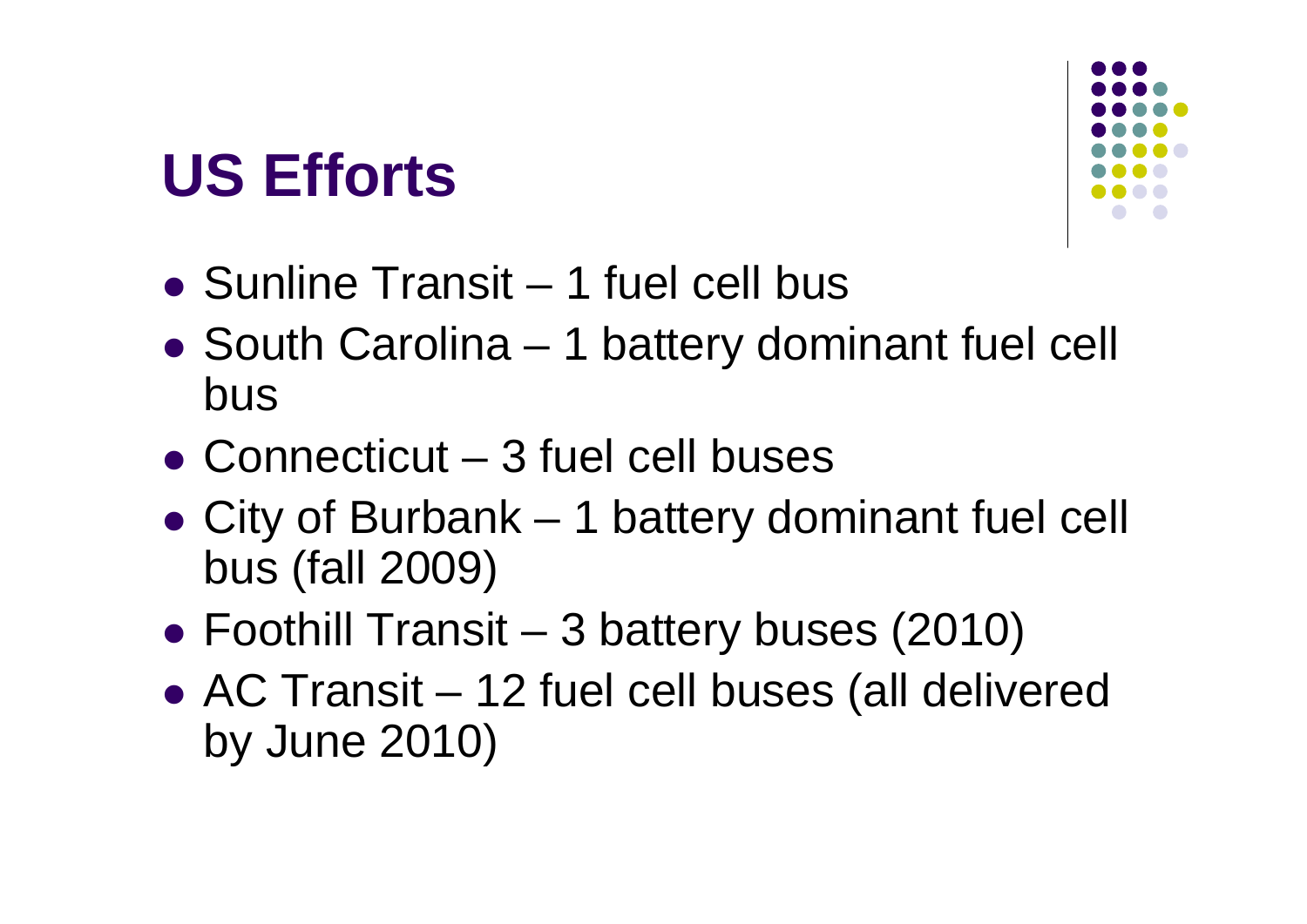### **US Efforts**



- Sunline Transit 1 fuel cell bus
- South Carolina 1 battery dominant fuel cell bus
- Connecticut 3 fuel cell buses
- City of Burbank 1 battery dominant fuel cell bus (fall 2009)
- Foothill Transit 3 battery buses (2010)
- AC Transit 12 fuel cell buses (all delivered by June 2010)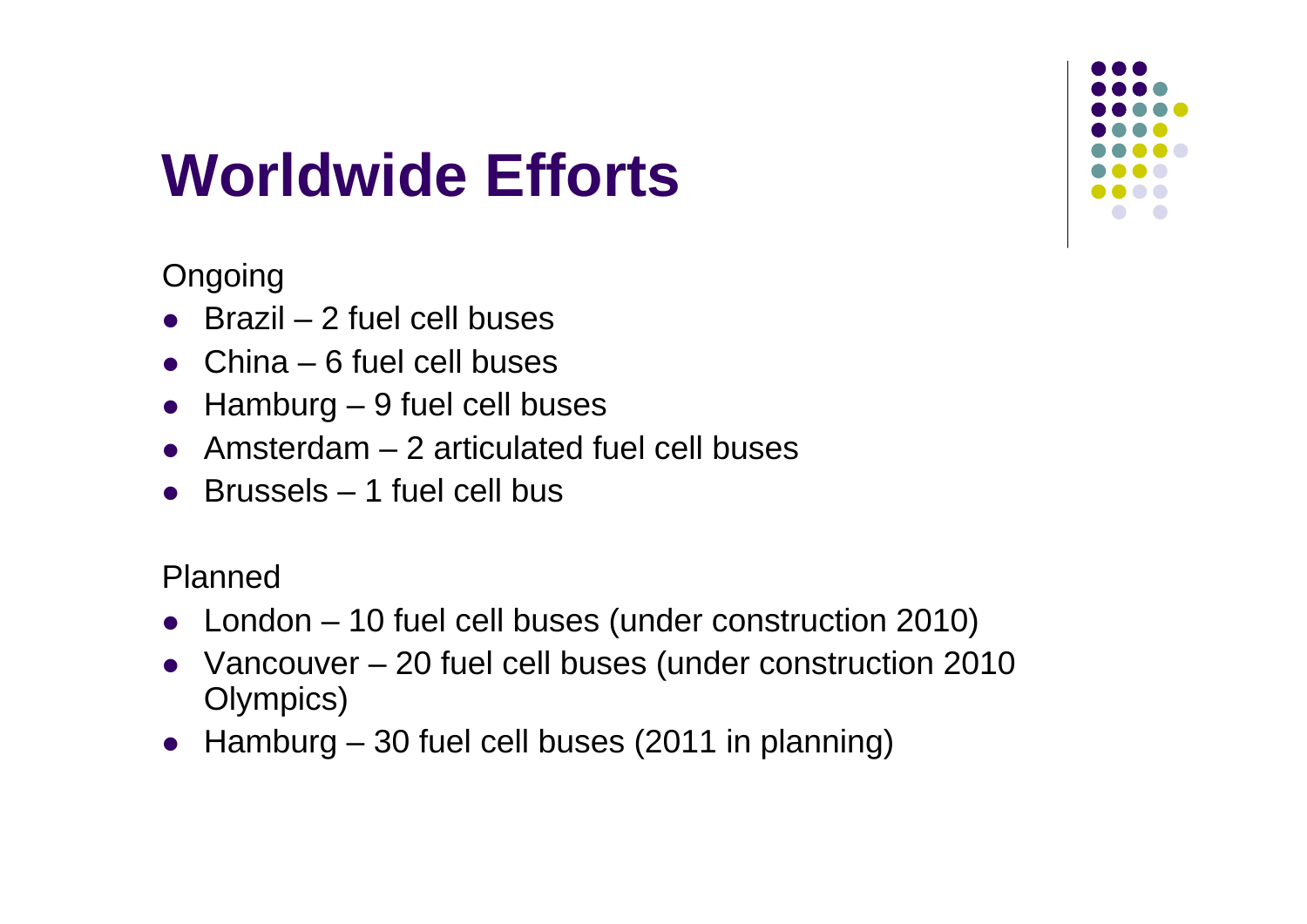### **Worldwide Efforts**



**Ongoing** 

- $\bullet$ Brazil – 2 fuel cell buses
- China 6 fuel cell buses
- $\bullet$ Hamburg – 9 fuel cell buses
- Amsterdam 2 articulated fuel cell buses
- Brussels 1 fuel cell bus

Planned

- $\bullet$ London – 10 fuel cell buses (under construction 2010)
- Vancouver 20 fuel cell buses (under construction 2010 Olympics)
- $\bullet$ Hamburg – 30 fuel cell buses (2011 in planning)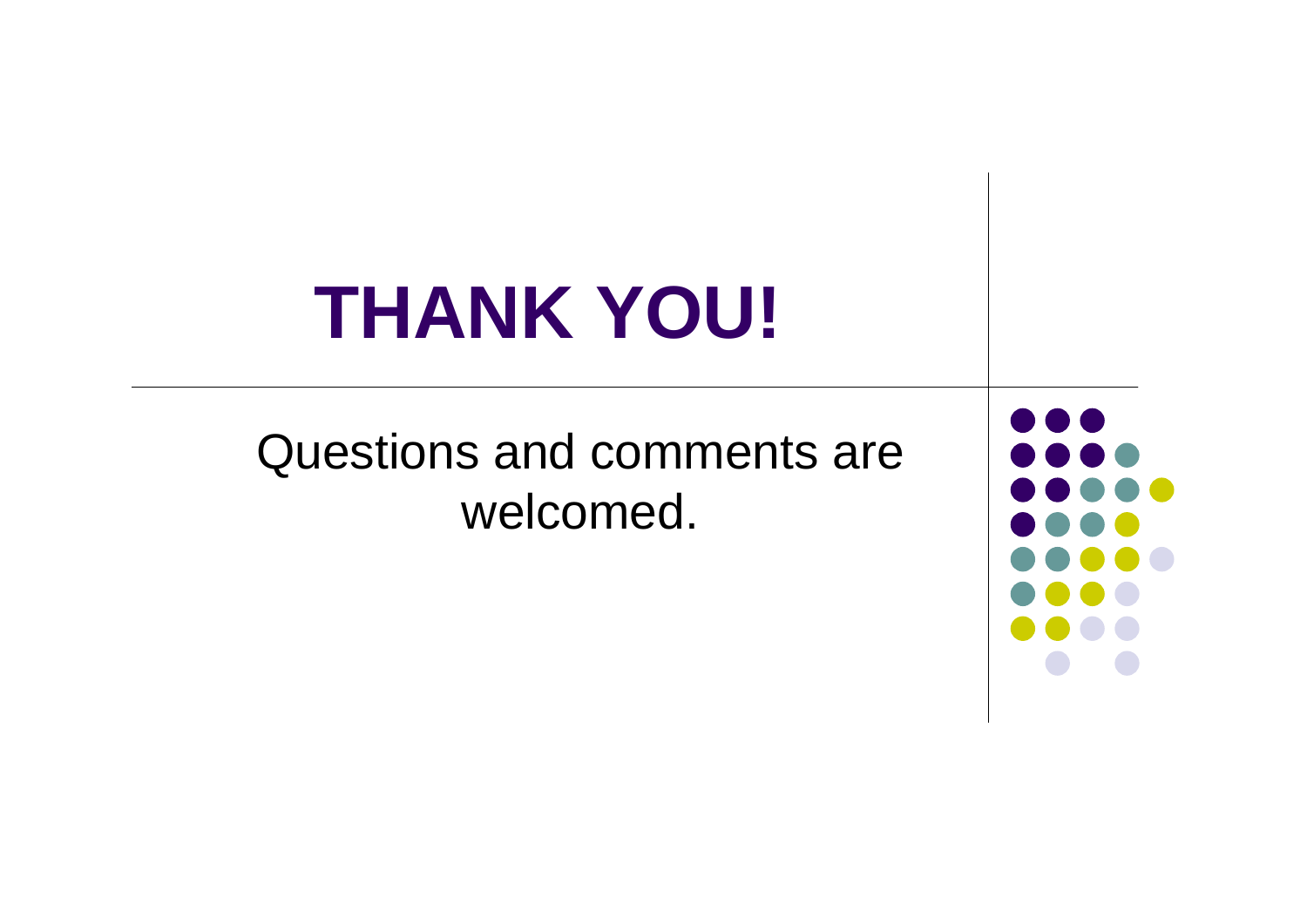# **THANK YOU!**

### Questions and comments are welcomed.

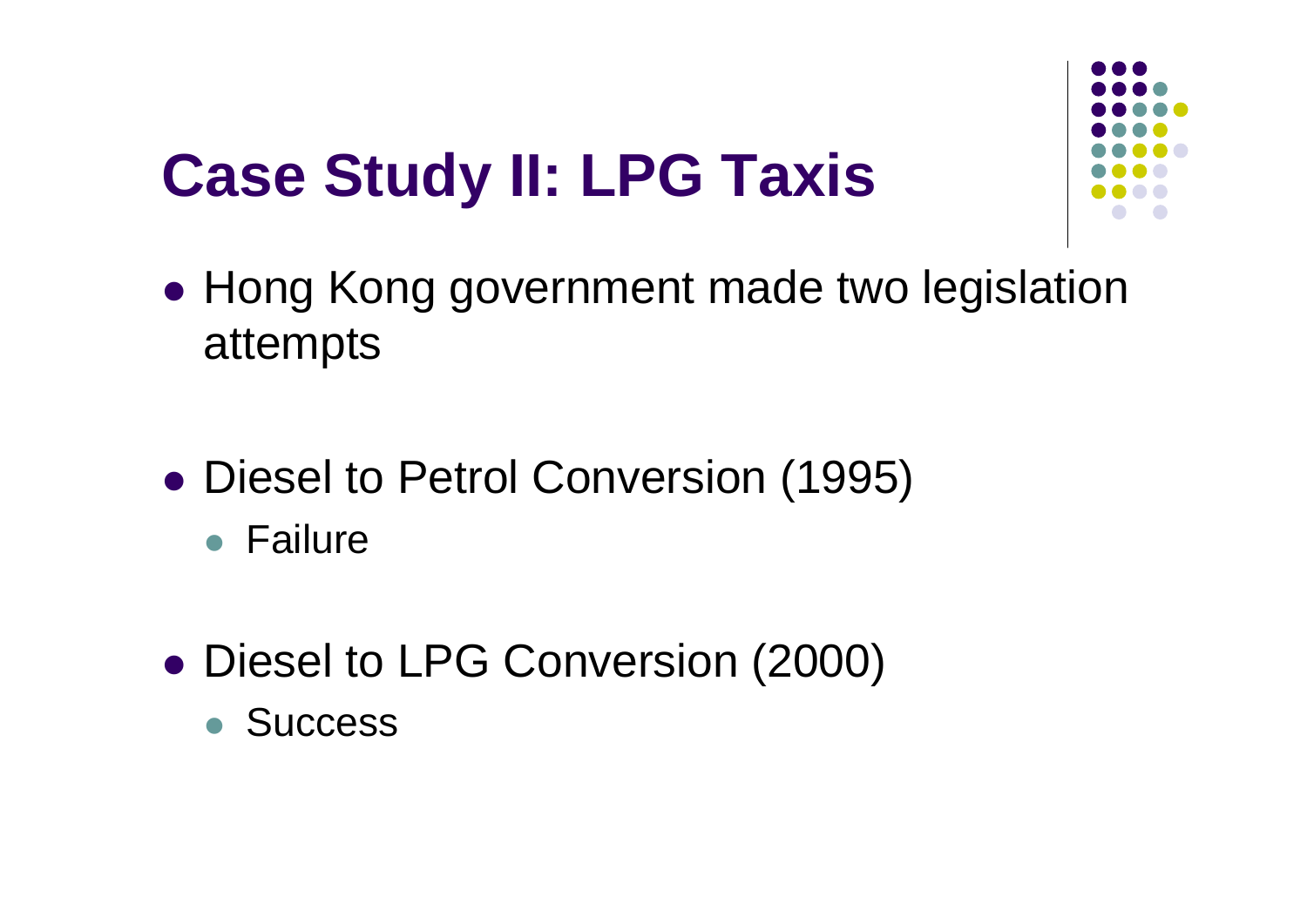### **Case Study II: LPG Taxis**



- Hong Kong government made two legislation attempts
- Diesel to Petrol Conversion (1995)
	- Failure
- Diesel to LPG Conversion (2000)
	- **Success**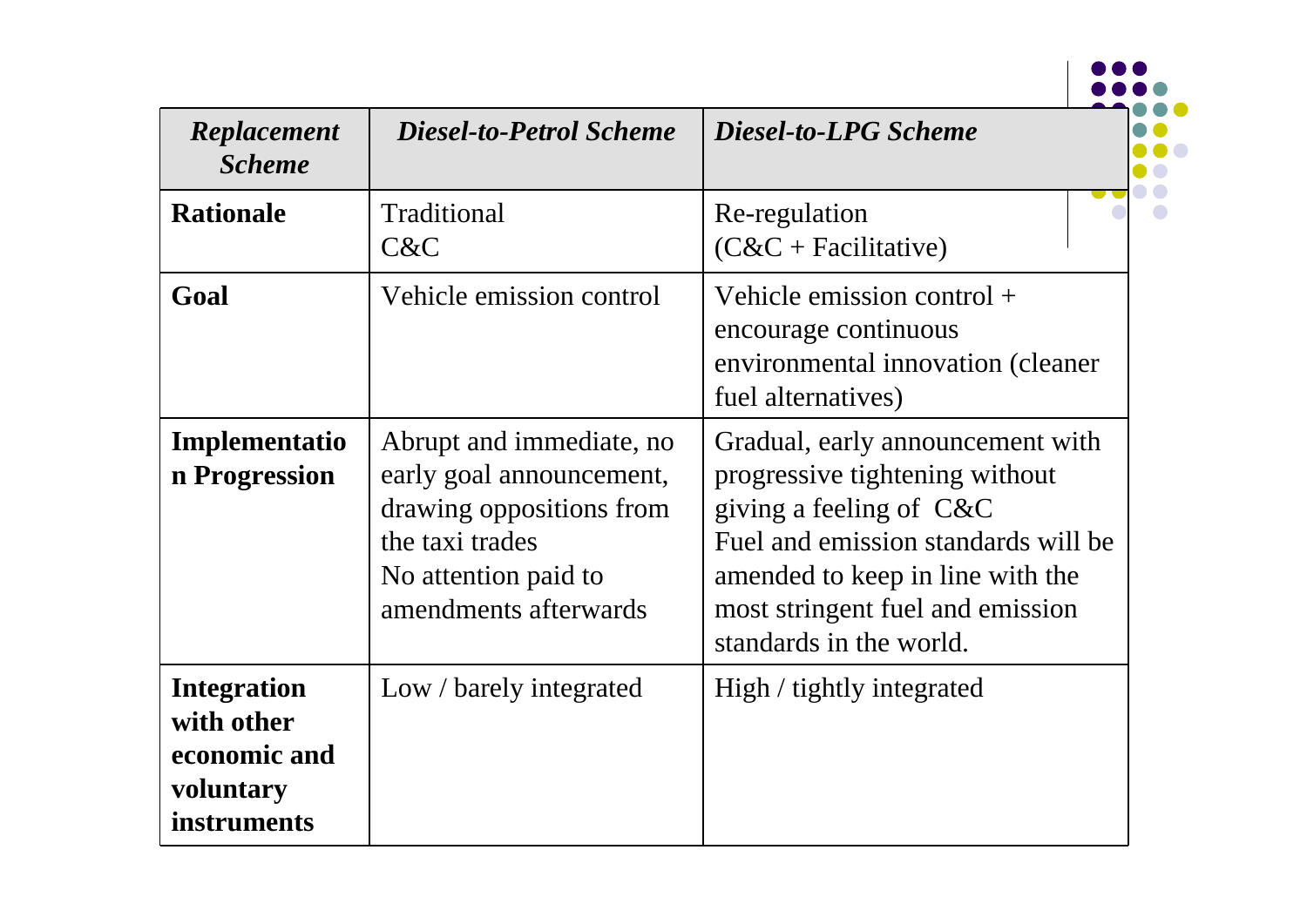| Replacement<br><b>Scheme</b>                                                 | <b>Diesel-to-Petrol Scheme</b>                                                                                                                       | <b>Diesel-to-LPG Scheme</b>                                                                                                                                                                                                                |
|------------------------------------------------------------------------------|------------------------------------------------------------------------------------------------------------------------------------------------------|--------------------------------------------------------------------------------------------------------------------------------------------------------------------------------------------------------------------------------------------|
| <b>Rationale</b>                                                             | Traditional<br>C&C                                                                                                                                   | Re-regulation<br>$(C&C + Facilitative)$                                                                                                                                                                                                    |
| Goal                                                                         | Vehicle emission control                                                                                                                             | Vehicle emission control $+$<br>encourage continuous<br>environmental innovation (cleaner<br>fuel alternatives)                                                                                                                            |
| Implementatio<br>n Progression                                               | Abrupt and immediate, no<br>early goal announcement,<br>drawing oppositions from<br>the taxi trades<br>No attention paid to<br>amendments afterwards | Gradual, early announcement with<br>progressive tightening without<br>giving a feeling of $C\&C$<br>Fuel and emission standards will be<br>amended to keep in line with the<br>most stringent fuel and emission<br>standards in the world. |
| <b>Integration</b><br>with other<br>economic and<br>voluntary<br>instruments | Low / barely integrated                                                                                                                              | High / tightly integrated                                                                                                                                                                                                                  |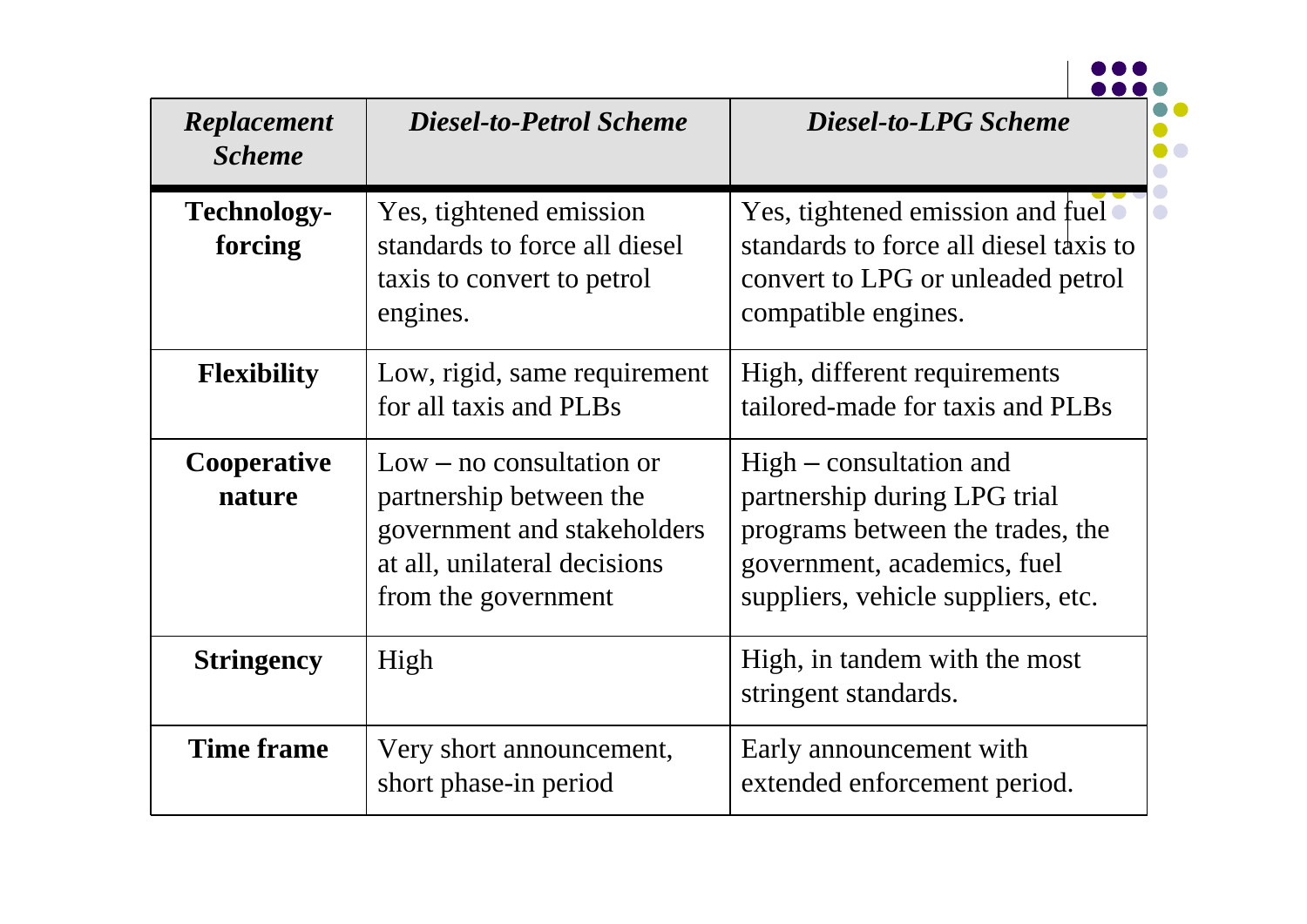| Replacement<br><b>Scheme</b>  | <b>Diesel-to-Petrol Scheme</b>                                                                                                              | <b>Diesel-to-LPG Scheme</b>                                                                                                                                        |
|-------------------------------|---------------------------------------------------------------------------------------------------------------------------------------------|--------------------------------------------------------------------------------------------------------------------------------------------------------------------|
| <b>Technology-</b><br>forcing | Yes, tightened emission<br>standards to force all diesel<br>taxis to convert to petrol<br>engines.                                          | Yes, tightened emission and fuel $\bullet$<br>standards to force all diesel taxis to<br>convert to LPG or unleaded petrol<br>compatible engines.                   |
| <b>Flexibility</b>            | Low, rigid, same requirement<br>for all taxis and PLBs                                                                                      | High, different requirements<br>tailored-made for taxis and PLBs                                                                                                   |
| Cooperative<br>nature         | $Low - no$ consultation or<br>partnership between the<br>government and stakeholders<br>at all, unilateral decisions<br>from the government | $High$ – consultation and<br>partnership during LPG trial<br>programs between the trades, the<br>government, academics, fuel<br>suppliers, vehicle suppliers, etc. |
| <b>Stringency</b>             | High                                                                                                                                        | High, in tandem with the most<br>stringent standards.                                                                                                              |
| <b>Time frame</b>             | Very short announcement,<br>short phase-in period                                                                                           | Early announcement with<br>extended enforcement period.                                                                                                            |

 $\overline{\phantom{a}}$ 

 $\bullet$ 

 $\bullet$